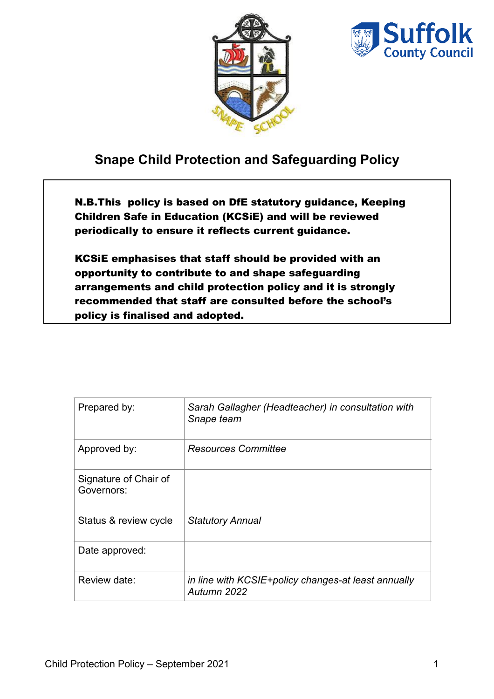



# **Snape Child Protection and Safeguarding Policy**

N.B.This policy is based on DfE statutory guidance, Keeping Children Safe in Education (KCSiE) and will be reviewed periodically to ensure it reflects current guidance.

KCSiE emphasises that staff should be provided with an opportunity to contribute to and shape safeguarding arrangements and child protection policy and it is strongly recommended that staff are consulted before the school's policy is finalised and adopted.

| Prepared by:                        | Sarah Gallagher (Headteacher) in consultation with<br>Snape team   |
|-------------------------------------|--------------------------------------------------------------------|
| Approved by:                        | <b>Resources Committee</b>                                         |
| Signature of Chair of<br>Governors: |                                                                    |
| Status & review cycle               | <b>Statutory Annual</b>                                            |
| Date approved:                      |                                                                    |
| Review date:                        | in line with KCSIE+policy changes-at least annually<br>Autumn 2022 |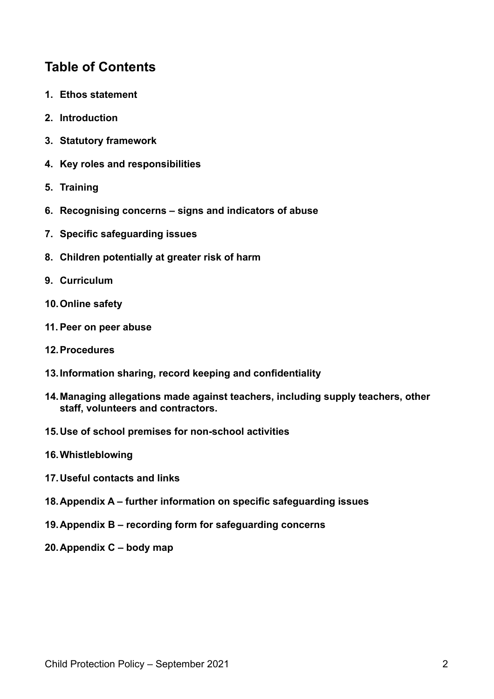# **Table of Contents**

- **1. Ethos statement**
- **2. Introduction**
- **3. Statutory framework**
- **4. Key roles and responsibilities**
- **5. Training**
- **6. Recognising concerns signs and indicators of abuse**
- **7. Specific safeguarding issues**
- **8. Children potentially at greater risk of harm**
- **9. Curriculum**
- **10.Online safety**
- **11.Peer on peer abuse**
- **12.Procedures**
- **13.Information sharing, record keeping and confidentiality**
- **14.Managing allegations made against teachers, including supply teachers, other staff, volunteers and contractors.**
- **15.Use of school premises for non-school activities**
- **16.Whistleblowing**
- **17.Useful contacts and links**
- **18.Appendix A further information on specific safeguarding issues**
- **19.Appendix B recording form for safeguarding concerns**
- **20.Appendix C body map**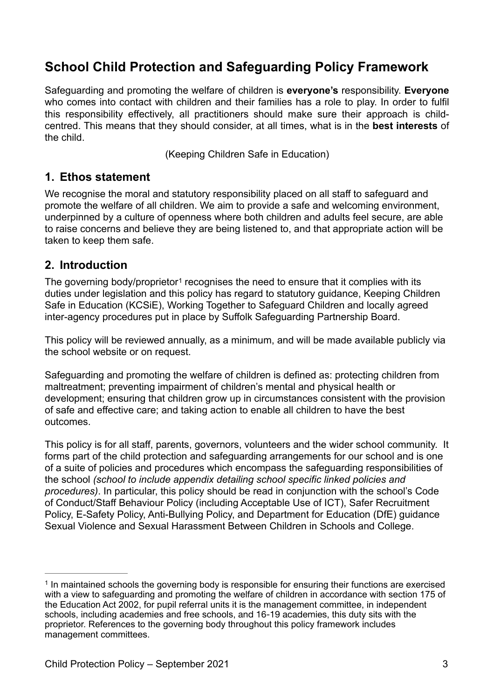# **School Child Protection and Safeguarding Policy Framework**

Safeguarding and promoting the welfare of children is **everyone's** responsibility. **Everyone** who comes into contact with children and their families has a role to play. In order to fulfil this responsibility effectively, all practitioners should make sure their approach is childcentred. This means that they should consider, at all times, what is in the **best interests** of the child.

<span id="page-2-1"></span>(Keeping Children Safe in Education)

#### **1. Ethos statement**

We recognise the moral and statutory responsibility placed on all staff to safeguard and promote the welfare of all children. We aim to provide a safe and welcoming environment, underpinned by a culture of openness where both children and adults feel secure, are able to raise concerns and believe they are being listened to, and that appropriate action will be taken to keep them safe.

### **2. Introduction**

The governing body/proprietor<sup>[1](#page-2-0)</sup> recognises the need to ensure that it complies with its duties under legislation and this policy has regard to statutory guidance, Keeping Children Safe in Education (KCSiE), Working Together to Safeguard Children and locally agreed inter-agency procedures put in place by Suffolk Safeguarding Partnership Board.

This policy will be reviewed annually, as a minimum, and will be made available publicly via the school website or on request.

Safeguarding and promoting the welfare of children is defined as: protecting children from maltreatment; preventing impairment of children's mental and physical health or development; ensuring that children grow up in circumstances consistent with the provision of safe and effective care; and taking action to enable all children to have the best outcomes.

This policy is for all staff, parents, governors, volunteers and the wider school community. It forms part of the child protection and safeguarding arrangements for our school and is one of a suite of policies and procedures which encompass the safeguarding responsibilities of the school *(school to include appendix detailing school specific linked policies and procedures)*. In particular, this policy should be read in conjunction with the school's Code of Conduct/Staff Behaviour Policy (including Acceptable Use of ICT), Safer Recruitment Policy, E-Safety Policy, Anti-Bullying Policy, and Department for Education (DfE) guidance Sexual Violence and Sexual Harassment Between Children in Schools and College.

<span id="page-2-0"></span><sup>&</sup>lt;sup>[1](#page-2-1)</sup> In maintained schools the governing body is responsible for ensuring their functions are exercised with a view to safeguarding and promoting the welfare of children in accordance with section 175 of the Education Act 2002, for pupil referral units it is the management committee, in independent schools, including academies and free schools, and 16-19 academies, this duty sits with the proprietor. References to the governing body throughout this policy framework includes management committees.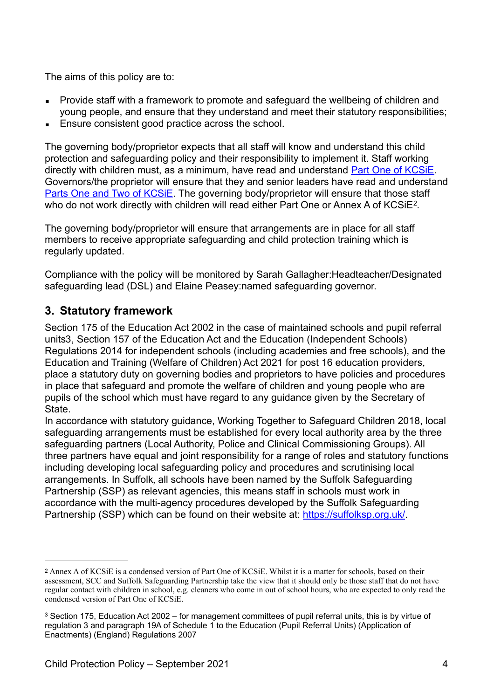The aims of this policy are to:

- Provide staff with a framework to promote and safeguard the wellbeing of children and young people, and ensure that they understand and meet their statutory responsibilities;
- Ensure consistent good practice across the school.

The governing body/proprietor expects that all staff will know and understand this child protection and safeguarding policy and their responsibility to implement it. Staff working directly with children must, as a minimum, have read and understand [Part One of KCSiE.](https://www.gov.uk/government/publications/keeping-children-safe-in-education--2) Governors/the proprietor will ensure that they and senior leaders have read and understand [Parts One and Two of KCSiE.](https://www.gov.uk/government/publications/keeping-children-safe-in-education--2) The governing body/proprietor will ensure that those staff who do not work directly with children will read either Part One or Annex A of KCSiE<sup>2</sup>[.](#page-3-0)

<span id="page-3-2"></span>The governing body/proprietor will ensure that arrangements are in place for all staff members to receive appropriate safeguarding and child protection training which is regularly updated.

Compliance with the policy will be monitored by Sarah Gallagher:Headteacher/Designated safeguarding lead (DSL) and Elaine Peasey:named safeguarding governor.

### **3. Statutory framework**

<span id="page-3-3"></span>Section 175 of the Education Act 2002 in the case of maintained schools and pupil referral unit[s3](#page-3-1), Section 157 of the Education Act and the Education (Independent Schools) Regulations 2014 for independent schools (including academies and free schools), and the Education and Training (Welfare of Children) Act 2021 for post 16 education providers, place a statutory duty on governing bodies and proprietors to have policies and procedures in place that safeguard and promote the welfare of children and young people who are pupils of the school which must have regard to any guidance given by the Secretary of State.

In accordance with statutory guidance, Working Together to Safeguard Children 2018, local safeguarding arrangements must be established for every local authority area by the three safeguarding partners (Local Authority, Police and Clinical Commissioning Groups). All three partners have equal and joint responsibility for a range of roles and statutory functions including developing local safeguarding policy and procedures and scrutinising local arrangements. In Suffolk, all schools have been named by the Suffolk Safeguarding Partnership (SSP) as relevant agencies, this means staff in schools must work in accordance with the multi-agency procedures developed by the Suffolk Safeguarding Partnership (SSP) which can be found on their website at: <https://suffolksp.org.uk/>.

<span id="page-3-0"></span>Annex A of KCSiE is a condensed version of Part One of KCSiE. Whilst it is a matter for schools, based on their [2](#page-3-2) assessment, SCC and Suffolk Safeguarding Partnership take the view that it should only be those staff that do not have regular contact with children in school, e.g. cleaners who come in out of school hours, who are expected to only read the condensed version of Part One of KCSiE.

<span id="page-3-1"></span><sup>&</sup>lt;sup>[3](#page-3-3)</sup> Section 175, Education Act 2002 – for management committees of pupil referral units, this is by virtue of regulation 3 and paragraph 19A of Schedule 1 to the Education (Pupil Referral Units) (Application of Enactments) (England) Regulations 2007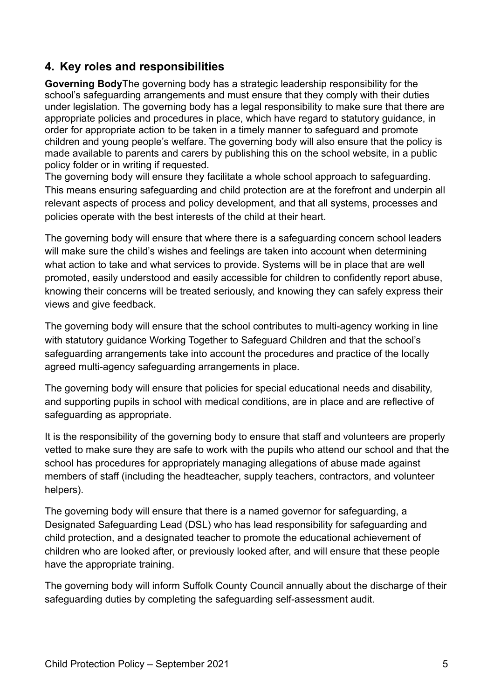### **4. Key roles and responsibilities**

**Governing Body**The governing body has a strategic leadership responsibility for the school's safeguarding arrangements and must ensure that they comply with their duties under legislation. The governing body has a legal responsibility to make sure that there are appropriate policies and procedures in place, which have regard to statutory guidance, in order for appropriate action to be taken in a timely manner to safeguard and promote children and young people's welfare. The governing body will also ensure that the policy is made available to parents and carers by publishing this on the school website, in a public policy folder or in writing if requested.

The governing body will ensure they facilitate a whole school approach to safeguarding. This means ensuring safeguarding and child protection are at the forefront and underpin all relevant aspects of process and policy development, and that all systems, processes and policies operate with the best interests of the child at their heart.

The governing body will ensure that where there is a safeguarding concern school leaders will make sure the child's wishes and feelings are taken into account when determining what action to take and what services to provide. Systems will be in place that are well promoted, easily understood and easily accessible for children to confidently report abuse, knowing their concerns will be treated seriously, and knowing they can safely express their views and give feedback.

The governing body will ensure that the school contributes to multi-agency working in line with statutory guidance Working Together to Safeguard Children and that the school's safeguarding arrangements take into account the procedures and practice of the locally agreed multi-agency safeguarding arrangements in place.

The governing body will ensure that policies for special educational needs and disability, and supporting pupils in school with medical conditions, are in place and are reflective of safeguarding as appropriate.

It is the responsibility of the governing body to ensure that staff and volunteers are properly vetted to make sure they are safe to work with the pupils who attend our school and that the school has procedures for appropriately managing allegations of abuse made against members of staff (including the headteacher, supply teachers, contractors, and volunteer helpers).

The governing body will ensure that there is a named governor for safeguarding, a Designated Safeguarding Lead (DSL) who has lead responsibility for safeguarding and child protection, and a designated teacher to promote the educational achievement of children who are looked after, or previously looked after, and will ensure that these people have the appropriate training.

The governing body will inform Suffolk County Council annually about the discharge of their safeguarding duties by completing the safeguarding self-assessment audit.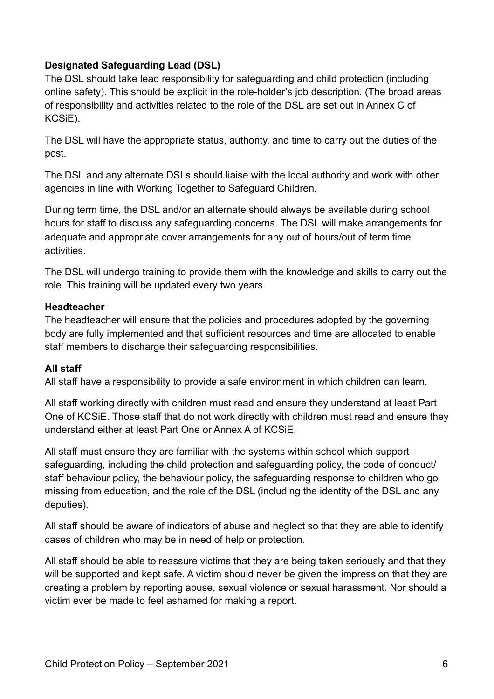#### **Designated Safeguarding Lead (DSL)**

The DSL should take lead responsibility for safeguarding and child protection (including online safety). This should be explicit in the role-holder's job description. (The broad areas of responsibility and activities related to the role of the DSL are set out in Annex C of KCSiE).

The DSL will have the appropriate status, authority, and time to carry out the duties of the post.

The DSL and any alternate DSLs should liaise with the local authority and work with other agencies in line with Working Together to Safeguard Children.

During term time, the DSL and/or an alternate should always be available during school hours for staff to discuss any safeguarding concerns. The DSL will make arrangements for adequate and appropriate cover arrangements for any out of hours/out of term time activities.

The DSL will undergo training to provide them with the knowledge and skills to carry out the role. This training will be updated every two years.

#### **Headteacher**

The headteacher will ensure that the policies and procedures adopted by the governing body are fully implemented and that sufficient resources and time are allocated to enable staff members to discharge their safeguarding responsibilities.

#### **All staff**

All staff have a responsibility to provide a safe environment in which children can learn.

All staff working directly with children must read and ensure they understand at least Part One of KCSiE. Those staff that do not work directly with children must read and ensure they understand either at least Part One or Annex A of KCSiE.

All staff must ensure they are familiar with the systems within school which support safeguarding, including the child protection and safeguarding policy, the code of conduct/ staff behaviour policy, the behaviour policy, the safeguarding response to children who go missing from education, and the role of the DSL (including the identity of the DSL and any deputies).

All staff should be aware of indicators of abuse and neglect so that they are able to identify cases of children who may be in need of help or protection.

All staff should be able to reassure victims that they are being taken seriously and that they will be supported and kept safe. A victim should never be given the impression that they are creating a problem by reporting abuse, sexual violence or sexual harassment. Nor should a victim ever be made to feel ashamed for making a report.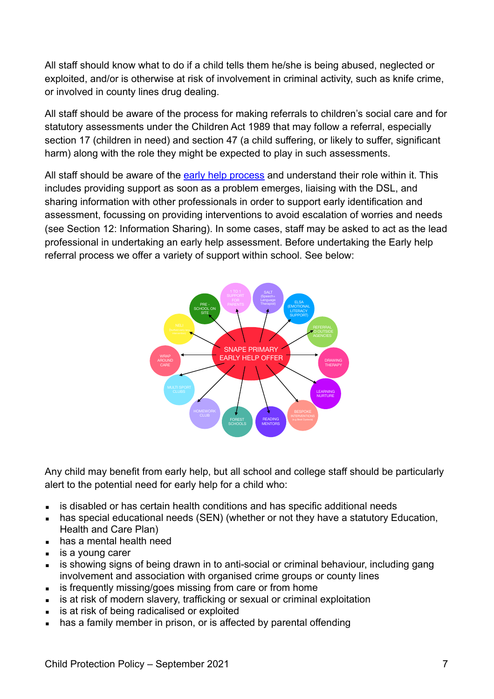All staff should know what to do if a child tells them he/she is being abused, neglected or exploited, and/or is otherwise at risk of involvement in criminal activity, such as knife crime, or involved in county lines drug dealing.

All staff should be aware of the process for making referrals to children's social care and for statutory assessments under the Children Act 1989 that may follow a referral, especially section 17 (children in need) and section 47 (a child suffering, or likely to suffer, significant harm) along with the role they might be expected to play in such assessments.

All staff should be aware of the [early help process](https://suffolksp.org.uk/working-with-children-and-adults/children/early-help/) and understand their role within it. This includes providing support as soon as a problem emerges, liaising with the DSL, and sharing information with other professionals in order to support early identification and assessment, focussing on providing interventions to avoid escalation of worries and needs (see Section 12: Information Sharing). In some cases, staff may be asked to act as the lead professional in undertaking an early help assessment. Before undertaking the Early help referral process we offer a variety of support within school. See below:



Any child may benefit from early help, but all school and college staff should be particularly alert to the potential need for early help for a child who:

- is disabled or has certain health conditions and has specific additional needs
- has special educational needs (SEN) (whether or not they have a statutory Education, Health and Care Plan)
- has a mental health need
- is a young carer
- is showing signs of being drawn in to anti-social or criminal behaviour, including gang involvement and association with organised crime groups or county lines
- **EXECUTE:** is frequently missing/goes missing from care or from home
- **EXEDER** is at risk of modern slavery, trafficking or sexual or criminal exploitation
- is at risk of being radicalised or exploited
- has a family member in prison, or is affected by parental offending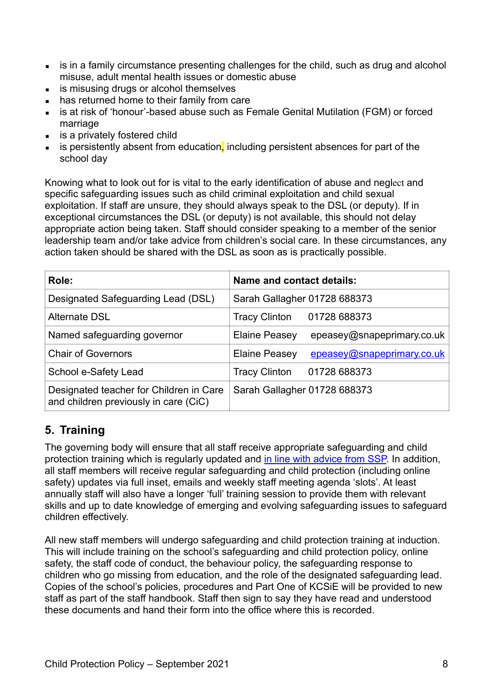- **EXEDENT IS in a family circumstance presenting challenges for the child, such as drug and alcohol** misuse, adult mental health issues or domestic abuse
- **EXEC** is misusing drugs or alcohol themselves
- has returned home to their family from care
- is at risk of 'honour'-based abuse such as Female Genital Mutilation (FGM) or forced marriage
- **EXECUTE:** is a privately fostered child
- is persistently absent from education, including persistent absences for part of the school day

Knowing what to look out for is vital to the early identification of abuse and neglect and specific safeguarding issues such as child criminal exploitation and child sexual exploitation. If staff are unsure, they should always speak to the DSL (or deputy). If in exceptional circumstances the DSL (or deputy) is not available, this should not delay appropriate action being taken. Staff should consider speaking to a member of the senior leadership team and/or take advice from children's social care. In these circumstances, any action taken should be shared with the DSL as soon as is practically possible.

| Role:                                                                            | <b>Name and contact details:</b>            |  |  |
|----------------------------------------------------------------------------------|---------------------------------------------|--|--|
| Designated Safeguarding Lead (DSL)                                               | Sarah Gallagher 01728 688373                |  |  |
| <b>Alternate DSL</b>                                                             | 01728 688373<br><b>Tracy Clinton</b>        |  |  |
| Named safeguarding governor                                                      | epeasey@snapeprimary.co.uk<br>Elaine Peasey |  |  |
| <b>Chair of Governors</b>                                                        | epeasey@snapeprimary.co.uk<br>Elaine Peasey |  |  |
| School e-Safety Lead                                                             | 01728 688373<br><b>Tracy Clinton</b>        |  |  |
| Designated teacher for Children in Care<br>and children previously in care (CiC) | Sarah Gallagher 01728 688373                |  |  |

## **5. Training**

The governing body will ensure that all staff receive appropriate safeguarding and child protection training which is regularly updated and [in line with advice from SSP.](https://suffolksp.org.uk/working-with-children-and-adults/children/early-help/) In addition, all staff members will receive regular safeguarding and child protection (including online safety) updates via full inset, emails and weekly staff meeting agenda 'slots'. At least annually staff will also have a longer 'full' training session to provide them with relevant skills and up to date knowledge of emerging and evolving safeguarding issues to safeguard children effectively.

All new staff members will undergo safeguarding and child protection training at induction. This will include training on the school's safeguarding and child protection policy, online safety, the staff code of conduct, the behaviour policy, the safeguarding response to children who go missing from education, and the role of the designated safeguarding lead. Copies of the school's policies, procedures and Part One of KCSiE will be provided to new staff as part of the staff handbook. Staff then sign to say they have read and understood these documents and hand their form into the office where this is recorded.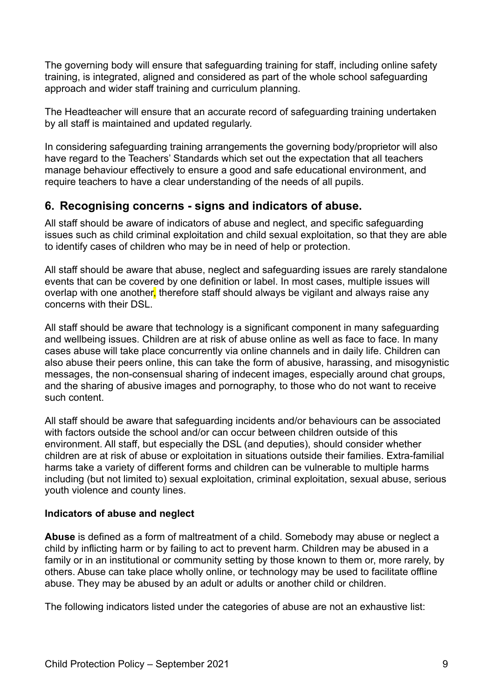The governing body will ensure that safeguarding training for staff, including online safety training, is integrated, aligned and considered as part of the whole school safeguarding approach and wider staff training and curriculum planning.

The Headteacher will ensure that an accurate record of safeguarding training undertaken by all staff is maintained and updated regularly.

In considering safeguarding training arrangements the governing body/proprietor will also have regard to the Teachers' Standards which set out the expectation that all teachers manage behaviour effectively to ensure a good and safe educational environment, and require teachers to have a clear understanding of the needs of all pupils.

### **6. Recognising concerns - signs and indicators of abuse.**

All staff should be aware of indicators of abuse and neglect, and specific safeguarding issues such as child criminal exploitation and child sexual exploitation, so that they are able to identify cases of children who may be in need of help or protection.

All staff should be aware that abuse, neglect and safeguarding issues are rarely standalone events that can be covered by one definition or label. In most cases, multiple issues will overlap with one another, therefore staff should always be vigilant and always raise any concerns with their DSL.

All staff should be aware that technology is a significant component in many safeguarding and wellbeing issues. Children are at risk of abuse online as well as face to face. In many cases abuse will take place concurrently via online channels and in daily life. Children can also abuse their peers online, this can take the form of abusive, harassing, and misogynistic messages, the non-consensual sharing of indecent images, especially around chat groups, and the sharing of abusive images and pornography, to those who do not want to receive such content.

All staff should be aware that safeguarding incidents and/or behaviours can be associated with factors outside the school and/or can occur between children outside of this environment. All staff, but especially the DSL (and deputies), should consider whether children are at risk of abuse or exploitation in situations outside their families. Extra-familial harms take a variety of different forms and children can be vulnerable to multiple harms including (but not limited to) sexual exploitation, criminal exploitation, sexual abuse, serious youth violence and county lines.

#### **Indicators of abuse and neglect**

**Abuse** is defined as a form of maltreatment of a child. Somebody may abuse or neglect a child by inflicting harm or by failing to act to prevent harm. Children may be abused in a family or in an institutional or community setting by those known to them or, more rarely, by others. Abuse can take place wholly online, or technology may be used to facilitate offline abuse. They may be abused by an adult or adults or another child or children.

The following indicators listed under the categories of abuse are not an exhaustive list: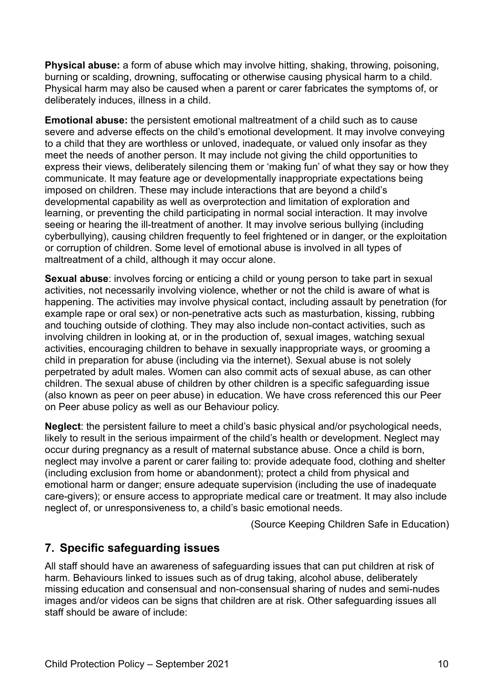**Physical abuse:** a form of abuse which may involve hitting, shaking, throwing, poisoning, burning or scalding, drowning, suffocating or otherwise causing physical harm to a child. Physical harm may also be caused when a parent or carer fabricates the symptoms of, or deliberately induces, illness in a child.

**Emotional abuse:** the persistent emotional maltreatment of a child such as to cause severe and adverse effects on the child's emotional development. It may involve conveying to a child that they are worthless or unloved, inadequate, or valued only insofar as they meet the needs of another person. It may include not giving the child opportunities to express their views, deliberately silencing them or 'making fun' of what they say or how they communicate. It may feature age or developmentally inappropriate expectations being imposed on children. These may include interactions that are beyond a child's developmental capability as well as overprotection and limitation of exploration and learning, or preventing the child participating in normal social interaction. It may involve seeing or hearing the ill-treatment of another. It may involve serious bullying (including cyberbullying), causing children frequently to feel frightened or in danger, or the exploitation or corruption of children. Some level of emotional abuse is involved in all types of maltreatment of a child, although it may occur alone.

**Sexual abuse**: involves forcing or enticing a child or young person to take part in sexual activities, not necessarily involving violence, whether or not the child is aware of what is happening. The activities may involve physical contact, including assault by penetration (for example rape or oral sex) or non-penetrative acts such as masturbation, kissing, rubbing and touching outside of clothing. They may also include non-contact activities, such as involving children in looking at, or in the production of, sexual images, watching sexual activities, encouraging children to behave in sexually inappropriate ways, or grooming a child in preparation for abuse (including via the internet). Sexual abuse is not solely perpetrated by adult males. Women can also commit acts of sexual abuse, as can other children. The sexual abuse of children by other children is a specific safeguarding issue (also known as peer on peer abuse) in education. We have cross referenced this our Peer on Peer abuse policy as well as our Behaviour policy.

**Neglect**: the persistent failure to meet a child's basic physical and/or psychological needs, likely to result in the serious impairment of the child's health or development. Neglect may occur during pregnancy as a result of maternal substance abuse. Once a child is born, neglect may involve a parent or carer failing to: provide adequate food, clothing and shelter (including exclusion from home or abandonment); protect a child from physical and emotional harm or danger; ensure adequate supervision (including the use of inadequate care-givers); or ensure access to appropriate medical care or treatment. It may also include neglect of, or unresponsiveness to, a child's basic emotional needs.

(Source Keeping Children Safe in Education)

### **7. Specific safeguarding issues**

All staff should have an awareness of safeguarding issues that can put children at risk of harm. Behaviours linked to issues such as of drug taking, alcohol abuse, deliberately missing education and consensual and non-consensual sharing of nudes and semi-nudes images and/or videos can be signs that children are at risk. Other safeguarding issues all staff should be aware of include: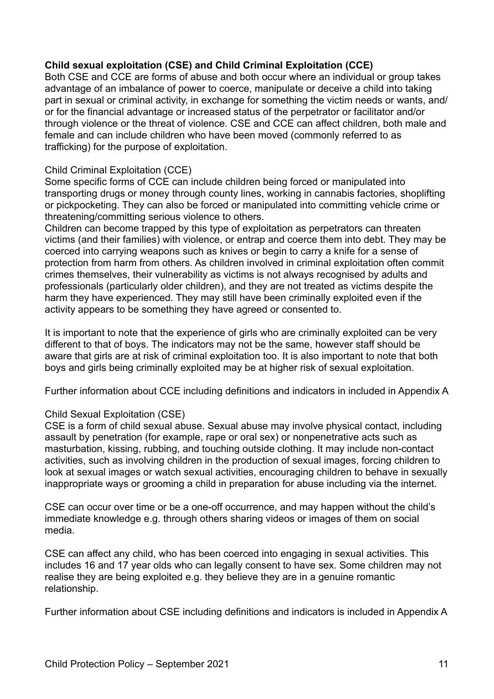#### **Child sexual exploitation (CSE) and Child Criminal Exploitation (CCE)**

Both CSE and CCE are forms of abuse and both occur where an individual or group takes advantage of an imbalance of power to coerce, manipulate or deceive a child into taking part in sexual or criminal activity, in exchange for something the victim needs or wants, and/ or for the financial advantage or increased status of the perpetrator or facilitator and/or through violence or the threat of violence. CSE and CCE can affect children, both male and female and can include children who have been moved (commonly referred to as trafficking) for the purpose of exploitation.

#### Child Criminal Exploitation (CCE)

Some specific forms of CCE can include children being forced or manipulated into transporting drugs or money through county lines, working in cannabis factories, shoplifting or pickpocketing. They can also be forced or manipulated into committing vehicle crime or threatening/committing serious violence to others.

Children can become trapped by this type of exploitation as perpetrators can threaten victims (and their families) with violence, or entrap and coerce them into debt. They may be coerced into carrying weapons such as knives or begin to carry a knife for a sense of protection from harm from others. As children involved in criminal exploitation often commit crimes themselves, their vulnerability as victims is not always recognised by adults and professionals (particularly older children), and they are not treated as victims despite the harm they have experienced. They may still have been criminally exploited even if the activity appears to be something they have agreed or consented to.

It is important to note that the experience of girls who are criminally exploited can be very different to that of boys. The indicators may not be the same, however staff should be aware that girls are at risk of criminal exploitation too. It is also important to note that both boys and girls being criminally exploited may be at higher risk of sexual exploitation.

Further information about CCE including definitions and indicators in included in Appendix A

#### Child Sexual Exploitation (CSE)

CSE is a form of child sexual abuse. Sexual abuse may involve physical contact, including assault by penetration (for example, rape or oral sex) or nonpenetrative acts such as masturbation, kissing, rubbing, and touching outside clothing. It may include non-contact activities, such as involving children in the production of sexual images, forcing children to look at sexual images or watch sexual activities, encouraging children to behave in sexually inappropriate ways or grooming a child in preparation for abuse including via the internet.

CSE can occur over time or be a one-off occurrence, and may happen without the child's immediate knowledge e.g. through others sharing videos or images of them on social media.

CSE can affect any child, who has been coerced into engaging in sexual activities. This includes 16 and 17 year olds who can legally consent to have sex. Some children may not realise they are being exploited e.g. they believe they are in a genuine romantic relationship.

Further information about CSE including definitions and indicators is included in Appendix A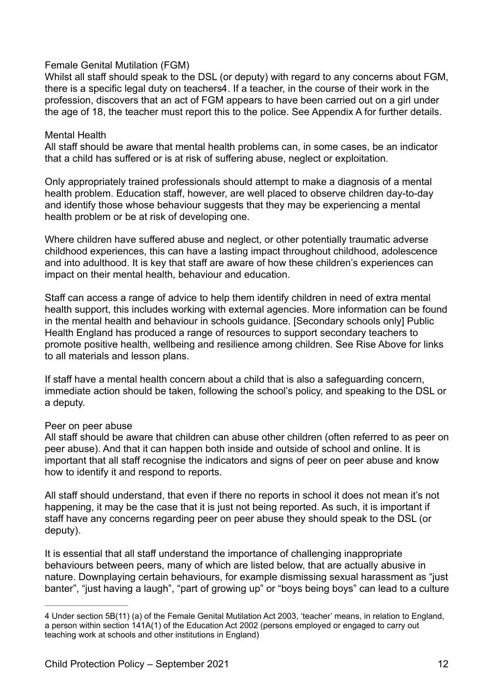#### Female Genital Mutilation (FGM)

<span id="page-11-1"></span>Whilst all staff should speak to the DSL (or deputy) with regard to any concerns about FGM, there is a specific legal duty on teacher[s4](#page-11-0). If a teacher, in the course of their work in the profession, discovers that an act of FGM appears to have been carried out on a girl under the age of 18, the teacher must report this to the police. See Appendix A for further details.

#### Mental Health

All staff should be aware that mental health problems can, in some cases, be an indicator that a child has suffered or is at risk of suffering abuse, neglect or exploitation.

Only appropriately trained professionals should attempt to make a diagnosis of a mental health problem. Education staff, however, are well placed to observe children day-to-day and identify those whose behaviour suggests that they may be experiencing a mental health problem or be at risk of developing one.

Where children have suffered abuse and neglect, or other potentially traumatic adverse childhood experiences, this can have a lasting impact throughout childhood, adolescence and into adulthood. It is key that staff are aware of how these children's experiences can impact on their mental health, behaviour and education.

Staff can access a range of advice to help them identify children in need of extra mental health support, this includes working with external agencies. More information can be found in the mental health and behaviour in schools guidance. [Secondary schools only] Public Health England has produced a range of resources to support secondary teachers to promote positive health, wellbeing and resilience among children. See Rise Above for links to all materials and lesson plans.

If staff have a mental health concern about a child that is also a safeguarding concern, immediate action should be taken, following the school's policy, and speaking to the DSL or a deputy.

#### Peer on peer abuse

All staff should be aware that children can abuse other children (often referred to as peer on peer abuse). And that it can happen both inside and outside of school and online. It is important that all staff recognise the indicators and signs of peer on peer abuse and know how to identify it and respond to reports.

All staff should understand, that even if there no reports in school it does not mean it's not happening, it may be the case that it is just not being reported. As such, it is important if staff have any concerns regarding peer on peer abuse they should speak to the DSL (or deputy).

It is essential that all staff understand the importance of challenging inappropriate behaviours between peers, many of which are listed below, that are actually abusive in nature. Downplaying certain behaviours, for example dismissing sexual harassment as "just banter", "just having a laugh", "part of growing up" or "boys being boys" can lead to a culture

<span id="page-11-0"></span>[<sup>4</sup>](#page-11-1) Under section 5B(11) (a) of the Female Genital Mutilation Act 2003, 'teacher' means, in relation to England, a person within section 141A(1) of the Education Act 2002 (persons employed or engaged to carry out teaching work at schools and other institutions in England)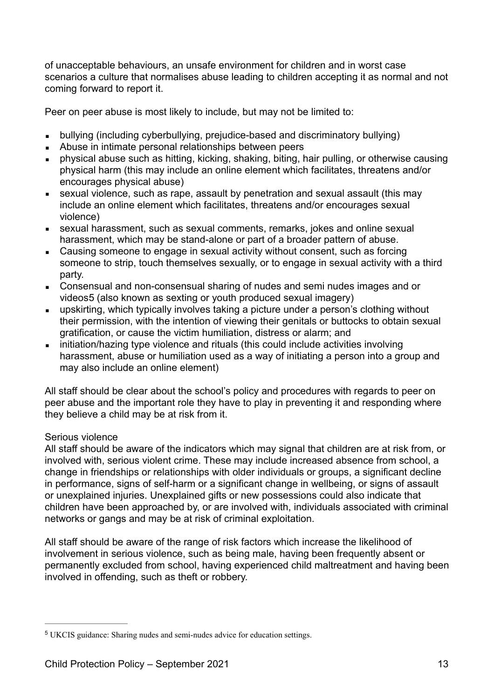of unacceptable behaviours, an unsafe environment for children and in worst case scenarios a culture that normalises abuse leading to children accepting it as normal and not coming forward to report it.

Peer on peer abuse is most likely to include, but may not be limited to:

- bullying (including cyberbullying, prejudice-based and discriminatory bullying)
- Abuse in intimate personal relationships between peers
- physical abuse such as hitting, kicking, shaking, biting, hair pulling, or otherwise causing physical harm (this may include an online element which facilitates, threatens and/or encourages physical abuse)
- sexual violence, such as rape, assault by penetration and sexual assault (this may include an online element which facilitates, threatens and/or encourages sexual violence)
- **EXECT** sexual harassment, such as sexual comments, remarks, jokes and online sexual harassment, which may be stand-alone or part of a broader pattern of abuse.
- Causing someone to engage in sexual activity without consent, such as forcing someone to strip, touch themselves sexually, or to engage in sexual activity with a third party.
- <span id="page-12-1"></span>■ Consensual and non-consensual sharing of nudes and semi nudes images and or videos[5](#page-12-0) (also known as sexting or youth produced sexual imagery)
- upskirting, which typically involves taking a picture under a person's clothing without their permission, with the intention of viewing their genitals or buttocks to obtain sexual gratification, or cause the victim humiliation, distress or alarm; and
- initiation/hazing type violence and rituals (this could include activities involving harassment, abuse or humiliation used as a way of initiating a person into a group and may also include an online element)

All staff should be clear about the school's policy and procedures with regards to peer on peer abuse and the important role they have to play in preventing it and responding where they believe a child may be at risk from it.

#### Serious violence

All staff should be aware of the indicators which may signal that children are at risk from, or involved with, serious violent crime. These may include increased absence from school, a change in friendships or relationships with older individuals or groups, a significant decline in performance, signs of self-harm or a significant change in wellbeing, or signs of assault or unexplained injuries. Unexplained gifts or new possessions could also indicate that children have been approached by, or are involved with, individuals associated with criminal networks or gangs and may be at risk of criminal exploitation.

All staff should be aware of the range of risk factors which increase the likelihood of involvement in serious violence, such as being male, having been frequently absent or permanently excluded from school, having experienced child maltreatment and having been involved in offending, such as theft or robbery.

<span id="page-12-0"></span>UKCIS guidance: Sharing nudes and semi-nudes advice for education settings. [5](#page-12-1)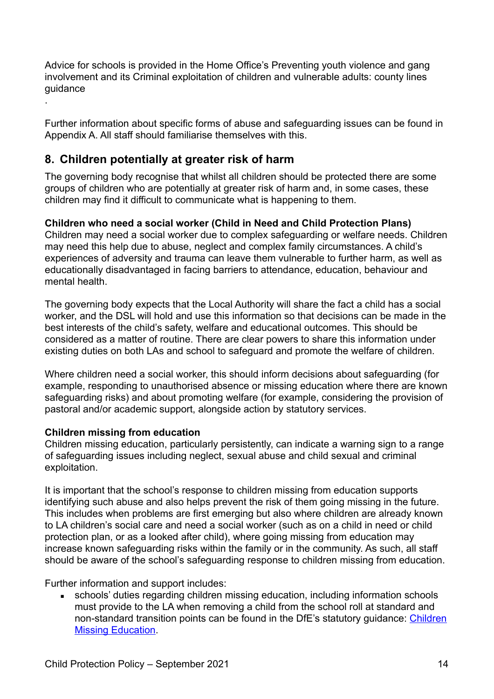Advice for schools is provided in the [Home Office's Preventing youth violence and gang](https://assets.publishing.service.gov.uk/government/uploads/system/uploads/attachment_data/file/418131/Preventing_youth_violence_and_gang_involvement_v3_March2015.pdf)  [involvement](https://assets.publishing.service.gov.uk/government/uploads/system/uploads/attachment_data/file/418131/Preventing_youth_violence_and_gang_involvement_v3_March2015.pdf) and its [Criminal exploitation of children and vulnerable adults: county lines](https://www.gov.uk/government/publications/criminal-exploitation-of-children-and-vulnerable-adults-county-lines)  [guidance](https://www.gov.uk/government/publications/criminal-exploitation-of-children-and-vulnerable-adults-county-lines) 

Further information about specific forms of abuse and safeguarding issues can be found in Appendix A. All staff should familiarise themselves with this.

### **8. Children potentially at greater risk of harm**

.

The governing body recognise that whilst all children should be protected there are some groups of children who are potentially at greater risk of harm and, in some cases, these children may find it difficult to communicate what is happening to them.

#### **Children who need a social worker (Child in Need and Child Protection Plans)**

Children may need a social worker due to complex safeguarding or welfare needs. Children may need this help due to abuse, neglect and complex family circumstances. A child's experiences of adversity and trauma can leave them vulnerable to further harm, as well as educationally disadvantaged in facing barriers to attendance, education, behaviour and mental health

The governing body expects that the Local Authority will share the fact a child has a social worker, and the DSL will hold and use this information so that decisions can be made in the best interests of the child's safety, welfare and educational outcomes. This should be considered as a matter of routine. There are clear powers to share this information under existing duties on both LAs and school to safeguard and promote the welfare of children.

Where children need a social worker, this should inform decisions about safeguarding (for example, responding to unauthorised absence or missing education where there are known safeguarding risks) and about promoting welfare (for example, considering the provision of pastoral and/or academic support, alongside action by statutory services.

#### **Children missing from education**

Children missing education, particularly persistently, can indicate a warning sign to a range of safeguarding issues including neglect, sexual abuse and child sexual and criminal exploitation.

It is important that the school's response to children missing from education supports identifying such abuse and also helps prevent the risk of them going missing in the future. This includes when problems are first emerging but also where children are already known to LA children's social care and need a social worker (such as on a child in need or child protection plan, or as a looked after child), where going missing from education may increase known safeguarding risks within the family or in the community. As such, all staff should be aware of the school's safeguarding response to children missing from education.

Further information and support includes:

schools' duties regarding children missing education, including information schools must provide to the LA when removing a child from the school roll at standard and non-standard transition points can be found in the DfE's statutory guidance: [Children](https://assets.publishing.service.gov.uk/government/uploads/system/uploads/attachment_data/file/550416/Children_Missing_Education_-_statutory_guidance.pdf)  **[Missing Education](https://assets.publishing.service.gov.uk/government/uploads/system/uploads/attachment_data/file/550416/Children_Missing_Education_-_statutory_guidance.pdf)**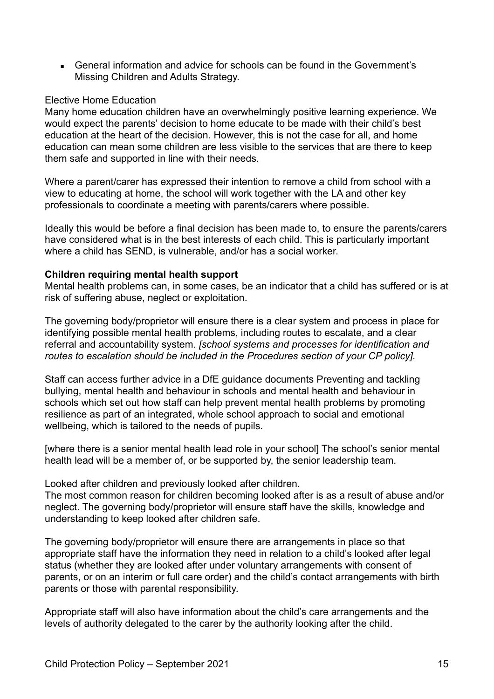▪ General information and advice for schools can be found in the Government's [Missing Children and Adults Strategy.](https://assets.publishing.service.gov.uk/government/uploads/system/uploads/attachment_data/file/117793/missing-persons-strategy.pdf)

#### Elective Home Education

Many home education children have an overwhelmingly positive learning experience. We would expect the parents' decision to home educate to be made with their child's best education at the heart of the decision. However, this is not the case for all, and home education can mean some children are less visible to the services that are there to keep them safe and supported in line with their needs.

Where a parent/carer has expressed their intention to remove a child from school with a view to educating at home, the school will work together with the LA and other key professionals to coordinate a meeting with parents/carers where possible.

Ideally this would be before a final decision has been made to, to ensure the parents/carers have considered what is in the best interests of each child. This is particularly important where a child has SEND, is vulnerable, and/or has a social worker.

#### **Children requiring mental health support**

Mental health problems can, in some cases, be an indicator that a child has suffered or is at risk of suffering abuse, neglect or exploitation.

The governing body/proprietor will ensure there is a clear system and process in place for identifying possible mental health problems, including routes to escalate, and a clear referral and accountability system. *[school systems and processes for identification and routes to escalation should be included in the Procedures section of your CP policy].* 

Staff can access further advice in a DfE guidance documents [Preventing and tackling](https://assets.publishing.service.gov.uk/government/uploads/system/uploads/attachment_data/file/623895/Preventing_and_tackling_bullying_advice.pdf)  [bullying, mental health and behaviour in schools](https://assets.publishing.service.gov.uk/government/uploads/system/uploads/attachment_data/file/623895/Preventing_and_tackling_bullying_advice.pdf) and [mental health and behaviour in](https://assets.publishing.service.gov.uk/government/uploads/system/uploads/attachment_data/file/755135/Mental_health_and_behaviour_in_schools__.pdf)  [schools](https://assets.publishing.service.gov.uk/government/uploads/system/uploads/attachment_data/file/755135/Mental_health_and_behaviour_in_schools__.pdf) which set out how staff can help prevent mental health problems by promoting resilience as part of an integrated, whole school approach to social and emotional wellbeing, which is tailored to the needs of pupils.

[where there is a senior mental health lead role in your school] The school's senior mental health lead will be a member of, or be supported by, the senior leadership team.

Looked after children and previously looked after children.

The most common reason for children becoming looked after is as a result of abuse and/or neglect. The governing body/proprietor will ensure staff have the skills, knowledge and understanding to keep looked after children safe.

The governing body/proprietor will ensure there are arrangements in place so that appropriate staff have the information they need in relation to a child's looked after legal status (whether they are looked after under voluntary arrangements with consent of parents, or on an interim or full care order) and the child's contact arrangements with birth parents or those with parental responsibility.

Appropriate staff will also have information about the child's care arrangements and the levels of authority delegated to the carer by the authority looking after the child.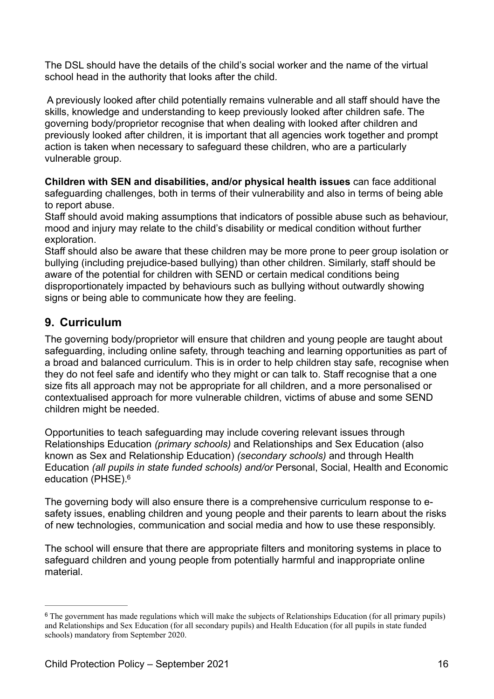The DSL should have the details of the child's social worker and the name of the virtual school head in the authority that looks after the child.

 A previously looked after child potentially remains vulnerable and all staff should have the skills, knowledge and understanding to keep previously looked after children safe. The governing body/proprietor recognise that when dealing with looked after children and previously looked after children, it is important that all agencies work together and prompt action is taken when necessary to safeguard these children, who are a particularly vulnerable group.

**Children with SEN and disabilities, and/or physical health issues** can face additional safeguarding challenges, both in terms of their vulnerability and also in terms of being able to report abuse.

Staff should avoid making assumptions that indicators of possible abuse such as behaviour, mood and injury may relate to the child's disability or medical condition without further exploration.

Staff should also be aware that these children may be more prone to peer group isolation or bullying (including prejudice-based bullying) than other children. Similarly, staff should be aware of the potential for children with SEND or certain medical conditions being disproportionately impacted by behaviours such as bullying without outwardly showing signs or being able to communicate how they are feeling.

### **9. Curriculum**

The governing body/proprietor will ensure that children and young people are taught about safeguarding, including online safety, through teaching and learning opportunities as part of a broad and balanced curriculum. This is in order to help children stay safe, recognise when they do not feel safe and identify who they might or can talk to. Staff recognise that a one size fits all approach may not be appropriate for all children, and a more personalised or contextualised approach for more vulnerable children, victims of abuse and some SEND children might be needed.

Opportunities to teach safeguarding may include covering relevant issues through Relationships Education *(primary schools)* and Relationships and Sex Education (also known as Sex and Relationship Education) *(secondary schools)* and through Health Education *(all pupils in state funded schools) and/or* Personal, Social, Health and Economic education (PHSE)[.6](#page-15-0)

<span id="page-15-1"></span>The governing body will also ensure there is a comprehensive curriculum response to esafety issues, enabling children and young people and their parents to learn about the risks of new technologies, communication and social media and how to use these responsibly.

The school will ensure that there are appropriate filters and monitoring systems in place to safeguard children and young people from potentially harmful and inappropriate online material.

<span id="page-15-0"></span><sup>&</sup>lt;sup>[6](#page-15-1)</sup> The government has made regulations which will make the subjects of Relationships Education (for all primary pupils) and Relationships and Sex Education (for all secondary pupils) and Health Education (for all pupils in state funded schools) mandatory from September 2020.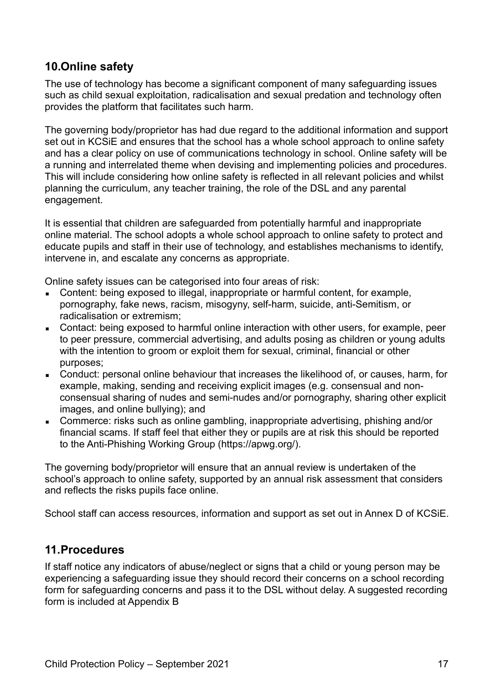### **10.Online safety**

The use of technology has become a significant component of many safeguarding issues such as child sexual exploitation, radicalisation and sexual predation and technology often provides the platform that facilitates such harm.

The governing body/proprietor has had due regard to the additional information and support set out in KCSiE and ensures that the school has a whole school approach to online safety and has a clear policy on use of communications technology in school. Online safety will be a running and interrelated theme when devising and implementing policies and procedures. This will include considering how online safety is reflected in all relevant policies and whilst planning the curriculum, any teacher training, the role of the DSL and any parental engagement.

It is essential that children are safeguarded from potentially harmful and inappropriate online material. The school adopts a whole school approach to online safety to protect and educate pupils and staff in their use of technology, and establishes mechanisms to identify, intervene in, and escalate any concerns as appropriate.

Online safety issues can be categorised into four areas of risk:

- Content: being exposed to illegal, inappropriate or harmful content, for example, pornography, fake news, racism, misogyny, self-harm, suicide, anti-Semitism, or radicalisation or extremism;
- Contact: being exposed to harmful online interaction with other users, for example, peer to peer pressure, commercial advertising, and adults posing as children or young adults with the intention to groom or exploit them for sexual, criminal, financial or other purposes;
- Conduct: personal online behaviour that increases the likelihood of, or causes, harm, for example, making, sending and receiving explicit images (e.g. consensual and nonconsensual sharing of nudes and semi-nudes and/or pornography, sharing other explicit images, and online bullying); and
- Commerce: risks such as online gambling, inappropriate advertising, phishing and/or financial scams. If staff feel that either they or pupils are at risk this should be reported to the Anti-Phishing Working Group (https://apwg.org/).

The governing body/proprietor will ensure that an annual review is undertaken of the school's approach to online safety, supported by an annual risk assessment that considers and reflects the risks pupils face online.

School staff can access resources, information and support as set out in Annex D of KCSiE.

### **11.Procedures**

If staff notice any indicators of abuse/neglect or signs that a child or young person may be experiencing a safeguarding issue they should record their concerns on a school recording form for safeguarding concerns and pass it to the DSL without delay. A suggested recording form is included at Appendix B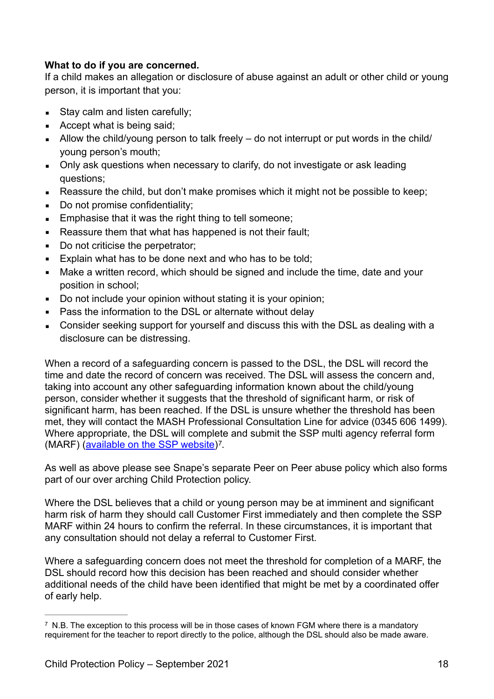#### **What to do if you are concerned.**

If a child makes an allegation or disclosure of abuse against an adult or other child or young person, it is important that you:

- **EXECT** Stay calm and listen carefully;
- Accept what is being said;
- **EXECUTE:** Allow the child/young person to talk freely  $-$  do not interrupt or put words in the child/ young person's mouth;
- Only ask questions when necessary to clarify, do not investigate or ask leading questions;
- Reassure the child, but don't make promises which it might not be possible to keep;
- Do not promise confidentiality;
- Emphasise that it was the right thing to tell someone;
- Reassure them that what has happened is not their fault;
- Do not criticise the perpetrator;
- Explain what has to be done next and who has to be told:
- Make a written record, which should be signed and include the time, date and your position in school;
- Do not include your opinion without stating it is your opinion;
- Pass the information to the DSL or alternate without delay
- Consider seeking support for yourself and discuss this with the DSL as dealing with a disclosure can be distressing.

When a record of a safeguarding concern is passed to the DSL, the DSL will record the time and date the record of concern was received. The DSL will assess the concern and, taking into account any other safeguarding information known about the child/young person, consider whether it suggests that the threshold of significant harm, or risk of significant harm, has been reached. If the DSL is unsure whether the threshold has been met, they will contact the MASH Professional Consultation Line for advice (0345 606 1499). Where appropriate, the DSL will complete and submit the SSP multi agency referral form (MARF) [\(available on the SSP website\)](https://earlyhelpportal.suffolk.gov.uk/web/portal/pages/marf#h1)<sup>7</sup>[.](#page-17-0)

<span id="page-17-1"></span>As well as above please see Snape's separate Peer on Peer abuse policy which also forms part of our over arching Child Protection policy.

Where the DSL believes that a child or young person may be at imminent and significant harm risk of harm they should call Customer First immediately and then complete the SSP MARF within 24 hours to confirm the referral. In these circumstances, it is important that any consultation should not delay a referral to Customer First.

Where a safeguarding concern does not meet the threshold for completion of a MARF, the DSL should record how this decision has been reached and should consider whether additional needs of the child have been identified that might be met by a coordinated offer of early help.

<span id="page-17-0"></span> $\frac{7}{1}$  $\frac{7}{1}$  $\frac{7}{1}$  N.B. The exception to this process will be in those cases of known FGM where there is a mandatory requirement for the teacher to report directly to the police, although the DSL should also be made aware.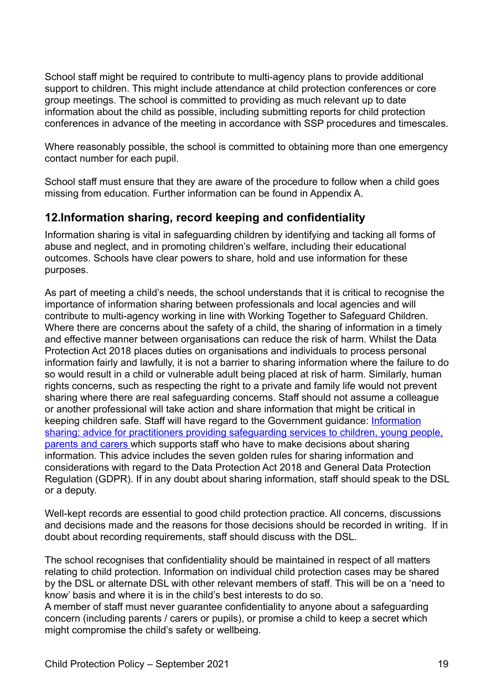School staff might be required to contribute to multi-agency plans to provide additional support to children. This might include attendance at child protection conferences or core group meetings. The school is committed to providing as much relevant up to date information about the child as possible, including submitting reports for child protection conferences in advance of the meeting in accordance with SSP procedures and timescales.

Where reasonably possible, the school is committed to obtaining more than one emergency contact number for each pupil.

School staff must ensure that they are aware of the procedure to follow when a child goes missing from education. Further information can be found in Appendix A.

### **12.Information sharing, record keeping and confidentiality**

Information sharing is vital in safeguarding children by identifying and tacking all forms of abuse and neglect, and in promoting children's welfare, including their educational outcomes. Schools have clear powers to share, hold and use information for these purposes.

As part of meeting a child's needs, the school understands that it is critical to recognise the importance of information sharing between professionals and local agencies and will contribute to multi-agency working in line with Working Together to Safeguard Children. Where there are concerns about the safety of a child, the sharing of information in a timely and effective manner between organisations can reduce the risk of harm. Whilst the Data Protection Act 2018 places duties on organisations and individuals to process personal information fairly and lawfully, it is not a barrier to sharing information where the failure to do so would result in a child or vulnerable adult being placed at risk of harm. Similarly, human rights concerns, such as respecting the right to a private and family life would not prevent sharing where there are real safeguarding concerns. Staff should not assume a colleague or another professional will take action and share information that might be critical in keeping children safe. Staff will have regard to the Government guidance: [Information](https://assets.publishing.service.gov.uk/government/uploads/system/uploads/attachment_data/file/721581/Information_sharing_advice_practitioners_safeguarding_services.pdf)  [sharing: advice for practitioners providing safeguarding services to children, young people,](https://assets.publishing.service.gov.uk/government/uploads/system/uploads/attachment_data/file/721581/Information_sharing_advice_practitioners_safeguarding_services.pdf)  [parents and carers](https://assets.publishing.service.gov.uk/government/uploads/system/uploads/attachment_data/file/721581/Information_sharing_advice_practitioners_safeguarding_services.pdf) which supports staff who have to make decisions about sharing information. This advice includes the seven golden rules for sharing information and considerations with regard to the Data Protection Act 2018 and General Data Protection Regulation (GDPR). If in any doubt about sharing information, staff should speak to the DSL or a deputy.

Well-kept records are essential to good child protection practice. All concerns, discussions and decisions made and the reasons for those decisions should be recorded in writing. If in doubt about recording requirements, staff should discuss with the DSL.

The school recognises that confidentiality should be maintained in respect of all matters relating to child protection. Information on individual child protection cases may be shared by the DSL or alternate DSL with other relevant members of staff. This will be on a 'need to know' basis and where it is in the child's best interests to do so.

A member of staff must never guarantee confidentiality to anyone about a safeguarding concern (including parents / carers or pupils), or promise a child to keep a secret which might compromise the child's safety or wellbeing.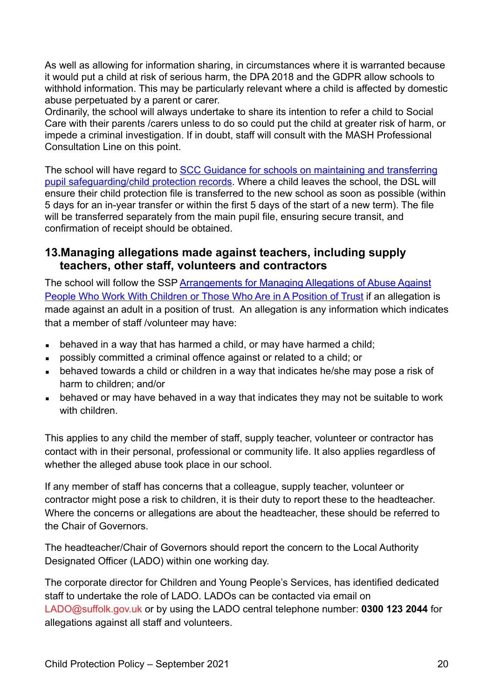As well as allowing for information sharing, in circumstances where it is warranted because it would put a child at risk of serious harm, the DPA 2018 and the GDPR allow schools to withhold information. This may be particularly relevant where a child is affected by domestic abuse perpetuated by a parent or carer.

Ordinarily, the school will always undertake to share its intention to refer a child to Social Care with their parents /carers unless to do so could put the child at greater risk of harm, or impede a criminal investigation. If in doubt, staff will consult with the MASH Professional Consultation Line on this point.

The school will have regard to SCC Guidance for schools on maintaining and transferring pupil safeguarding/child protection records. Where a child leaves the school, the DSL will ensure their child protection file is transferred to the new school as soon as possible (within 5 days for an in-year transfer or within the first 5 days of the start of a new term). The file will be transferred separately from the main pupil file, ensuring secure transit, and confirmation of receipt should be obtained.

#### **13.Managing allegations made against teachers, including supply teachers, other staff, volunteers and contractors**

The school will follow the SSP [Arrangements for Managing Allegations of Abuse Against](https://suffolksp.org.uk/assets/Working-with-Children-Adults/LADO/2019-12-10-Arrangements-for-Managing-Allegations-of-Abuse-v9.pdf)  [People Who Work With Children or Those Who Are in A Position of Trust if an allegation i](https://suffolksp.org.uk/assets/Working-with-Children-Adults/LADO/2019-12-10-Arrangements-for-Managing-Allegations-of-Abuse-v9.pdf)s made against an adult in a position of trust. An allegation is any information which indicates that a member of staff /volunteer may have:

- **E** behaved in a way that has harmed a child, or may have harmed a child;
- possibly committed a criminal offence against or related to a child; or
- **EXED** behaved towards a child or children in a way that indicates he/she may pose a risk of harm to children; and/or
- $\blacksquare$  behaved or may have behaved in a way that indicates they may not be suitable to work with children.

This applies to any child the member of staff, supply teacher, volunteer or contractor has contact with in their personal, professional or community life. It also applies regardless of whether the alleged abuse took place in our school.

If any member of staff has concerns that a colleague, supply teacher, volunteer or contractor might pose a risk to children, it is their duty to report these to the headteacher. Where the concerns or allegations are about the headteacher, these should be referred to the Chair of Governors.

The headteacher/Chair of Governors should report the concern to the Local Authority Designated Officer (LADO) within one working day.

The corporate director for Children and Young People's Services, has identified dedicated staff to undertake the role of LADO. LADOs can be contacted via email on [LADO@suffolk.gov.uk](mailto:LADO@suffolk.gov.uk) or by using the LADO central telephone number: **0300 123 2044** for allegations against all staff and volunteers.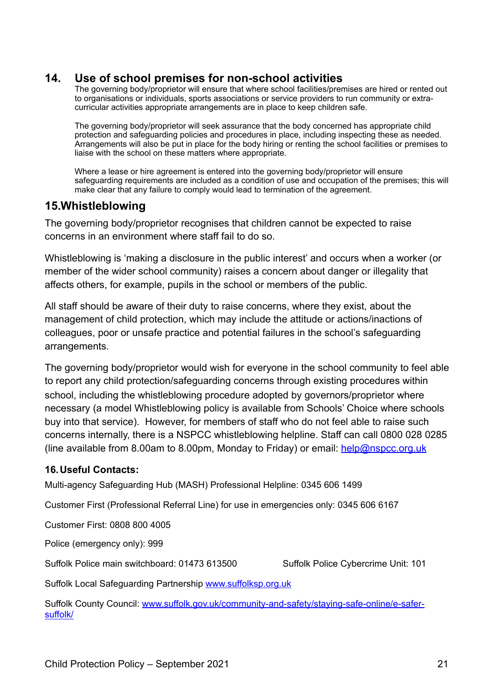### **14. Use of school premises for non-school activities**

The governing body/proprietor will ensure that where school facilities/premises are hired or rented out to organisations or individuals, sports associations or service providers to run community or extracurricular activities appropriate arrangements are in place to keep children safe.

The governing body/proprietor will seek assurance that the body concerned has appropriate child protection and safeguarding policies and procedures in place, including inspecting these as needed. Arrangements will also be put in place for the body hiring or renting the school facilities or premises to liaise with the school on these matters where appropriate.

Where a lease or hire agreement is entered into the governing body/proprietor will ensure safeguarding requirements are included as a condition of use and occupation of the premises; this will make clear that any failure to comply would lead to termination of the agreement.

### **15.Whistleblowing**

The governing body/proprietor recognises that children cannot be expected to raise concerns in an environment where staff fail to do so.

Whistleblowing is 'making a disclosure in the public interest' and occurs when a worker (or member of the wider school community) raises a concern about danger or illegality that affects others, for example, pupils in the school or members of the public.

All staff should be aware of their duty to raise concerns, where they exist, about the management of child protection, which may include the attitude or actions/inactions of colleagues, poor or unsafe practice and potential failures in the school's safeguarding arrangements.

The governing body/proprietor would wish for everyone in the school community to feel able to report any child protection/safeguarding concerns through existing procedures within school, including the whistleblowing procedure adopted by governors/proprietor where necessary (a model Whistleblowing policy is available from Schools' Choice where schools buy into that service). However, for members of staff who do not feel able to raise such concerns internally, there is a NSPCC whistleblowing helpline. Staff can call 0800 028 0285 (line available from 8.00am to 8.00pm, Monday to Friday) or email: help@nspcc.org.uk

#### **16.Useful Contacts:**

Multi-agency Safeguarding Hub (MASH) Professional Helpline: 0345 606 1499

Customer First (Professional Referral Line) for use in emergencies only: 0345 606 6167

Customer First: 0808 800 4005

Police (emergency only): 999

Suffolk Police main switchboard: 01473 613500 Suffolk Police Cybercrime Unit: 101

Suffolk Local Safeguarding Partnership [www.suffolksp.org.uk](http://www.suffolksp.org.uk) 

Suffolk County Council: [www.suffolk.gov.uk/community-and-safety/staying-safe-online/e-safer](http://www.suffolk.gov.uk/community-and-safety/staying-safe-online/e-safer-suffolk/)[suffolk/](http://www.suffolk.gov.uk/community-and-safety/staying-safe-online/e-safer-suffolk/)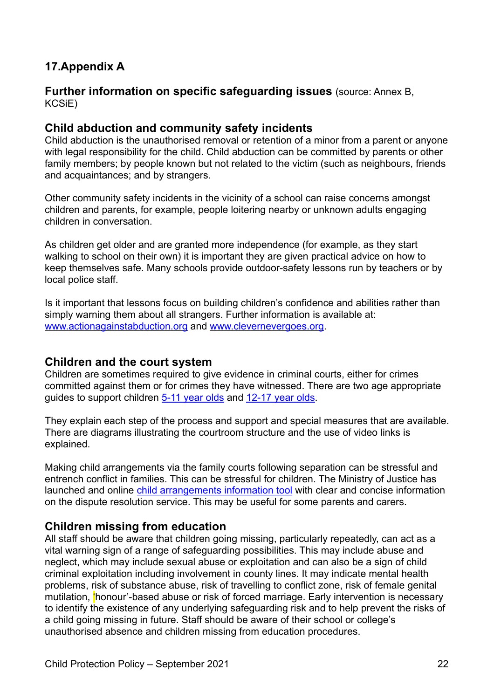### **17.Appendix A**

#### **Further information on specific safeguarding issues** (source: Annex B, KCSiE)

#### **Child abduction and community safety incidents**

Child abduction is the unauthorised removal or retention of a minor from a parent or anyone with legal responsibility for the child. Child abduction can be committed by parents or other family members; by people known but not related to the victim (such as neighbours, friends and acquaintances; and by strangers.

Other community safety incidents in the vicinity of a school can raise concerns amongst children and parents, for example, people loitering nearby or unknown adults engaging children in conversation.

As children get older and are granted more independence (for example, as they start walking to school on their own) it is important they are given practical advice on how to keep themselves safe. Many schools provide outdoor-safety lessons run by teachers or by local police staff.

Is it important that lessons focus on building children's confidence and abilities rather than simply warning them about all strangers. Further information is available at: [www.actionagainstabduction.org](http://www.actionagainstabduction.org) and [www.clevernevergoes.org](https://clevernevergoes.org/).

#### **Children and the court system**

Children are sometimes required to give evidence in criminal courts, either for crimes committed against them or for crimes they have witnessed. There are two age appropriate guides to support children [5-11 year olds](https://www.gov.uk/government/publications/young-witness-booklet-for-5-to-11-year-olds) and [12-17 year olds](https://www.gov.uk/government/publications/young-witness-booklet-for-12-to-17-year-olds).

They explain each step of the process and support and special measures that are available. There are diagrams illustrating the courtroom structure and the use of video links is explained.

Making child arrangements via the family courts following separation can be stressful and entrench conflict in families. This can be stressful for children. The Ministry of Justice has launched and online [child arrangements information tool](https://helpwithchildarrangements.service.justice.gov.uk/) with clear and concise information on the dispute resolution service. This may be useful for some parents and carers.

#### **Children missing from education**

All staff should be aware that children going missing, particularly repeatedly, can act as a vital warning sign of a range of safeguarding possibilities. This may include abuse and neglect, which may include sexual abuse or exploitation and can also be a sign of child criminal exploitation including involvement in county lines. It may indicate mental health problems, risk of substance abuse, risk of travelling to conflict zone, risk of female genital mutilation, 'honour'-based abuse or risk of forced marriage. Early intervention is necessary to identify the existence of any underlying safeguarding risk and to help prevent the risks of a child going missing in future. Staff should be aware of their school or college's unauthorised absence and children missing from education procedures.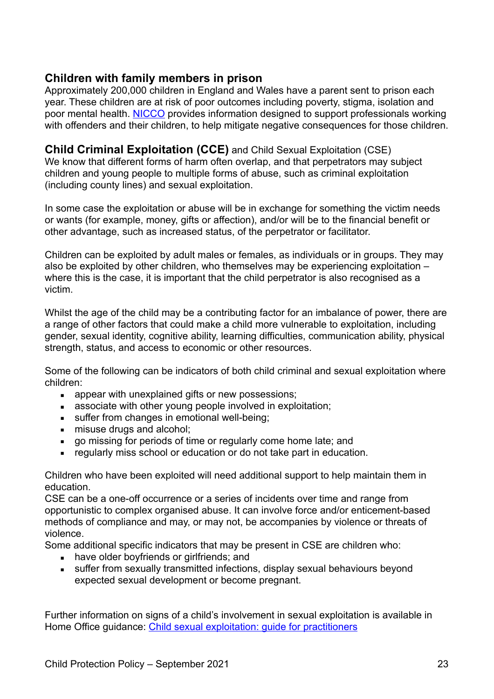#### **Children with family members in prison**

Approximately 200,000 children in England and Wales have a parent sent to prison each year. These children are at risk of poor outcomes including poverty, stigma, isolation and poor mental health. [NICCO](https://www.nicco.org.uk/) provides information designed to support professionals working with offenders and their children, to help mitigate negative consequences for those children.

### **Child Criminal Exploitation (CCE)** and Child Sexual Exploitation (CSE)

We know that different forms of harm often overlap, and that perpetrators may subject children and young people to multiple forms of abuse, such as criminal exploitation (including county lines) and sexual exploitation.

In some case the exploitation or abuse will be in exchange for something the victim needs or wants (for example, money, gifts or affection), and/or will be to the financial benefit or other advantage, such as increased status, of the perpetrator or facilitator.

Children can be exploited by adult males or females, as individuals or in groups. They may also be exploited by other children, who themselves may be experiencing exploitation – where this is the case, it is important that the child perpetrator is also recognised as a victim.

Whilst the age of the child may be a contributing factor for an imbalance of power, there are a range of other factors that could make a child more vulnerable to exploitation, including gender, sexual identity, cognitive ability, learning difficulties, communication ability, physical strength, status, and access to economic or other resources.

Some of the following can be indicators of both child criminal and sexual exploitation where children:

- **EXECTE:** appear with unexplained gifts or new possessions;
- **EXE** associate with other young people involved in exploitation;
- **EXECUTE:** suffer from changes in emotional well-being;
- misuse drugs and alcohol;
- **.** go missing for periods of time or regularly come home late; and
- regularly miss school or education or do not take part in education.

Children who have been exploited will need additional support to help maintain them in education.

CSE can be a one-off occurrence or a series of incidents over time and range from opportunistic to complex organised abuse. It can involve force and/or enticement-based methods of compliance and may, or may not, be accompanies by violence or threats of violence.

Some additional specific indicators that may be present in CSE are children who:

- have older boyfriends or girlfriends; and
- **EXECT** suffer from sexually transmitted infections, display sexual behaviours beyond expected sexual development or become pregnant.

Further information on signs of a child's involvement in sexual exploitation is available in Home Office guidance: [Child sexual exploitation: guide for practitioners](https://assets.publishing.service.gov.uk/government/uploads/system/uploads/attachment_data/file/591903/CSE_Guidance_Core_Document_13.02.2017.pdf)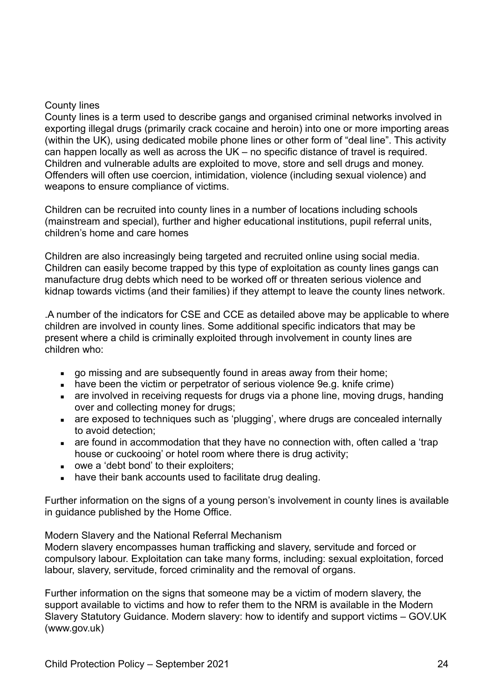#### County lines

County lines is a term used to describe gangs and organised criminal networks involved in exporting illegal drugs (primarily crack cocaine and heroin) into one or more importing areas (within the UK), using dedicated mobile phone lines or other form of "deal line". This activity can happen locally as well as across the UK – no specific distance of travel is required. Children and vulnerable adults are exploited to move, store and sell drugs and money. Offenders will often use coercion, intimidation, violence (including sexual violence) and weapons to ensure compliance of victims.

Children can be recruited into county lines in a number of locations including schools (mainstream and special), further and higher educational institutions, pupil referral units, children's home and care homes

Children are also increasingly being targeted and recruited online using social media. Children can easily become trapped by this type of exploitation as county lines gangs can manufacture drug debts which need to be worked off or threaten serious violence and kidnap towards victims (and their families) if they attempt to leave the county lines network.

.A number of the indicators for CSE and CCE as detailed above may be applicable to where children are involved in county lines. Some additional specific indicators that may be present where a child is criminally exploited through involvement in county lines are children who:

- **go missing and are subsequently found in areas away from their home;**
- have been the victim or perpetrator of serious violence 9e.g. knife crime)
- are involved in receiving requests for drugs via a phone line, moving drugs, handing over and collecting money for drugs;
- **EXEDENT Are exposed to techniques such as 'plugging', where drugs are concealed internally** to avoid detection;
- are found in accommodation that they have no connection with, often called a 'trap house or cuckooing' or hotel room where there is drug activity;
- owe a 'debt bond' to their exploiters;
- have their bank accounts used to facilitate drug dealing.

Further information on the signs of a young person's involvement in county lines is available in guidance published by the [Home Office.](https://assets.publishing.service.gov.uk/government/uploads/system/uploads/attachment_data/file/863323/HOCountyLinesGuidance_-_Sept2018.pdf)

#### Modern Slavery and the National Referral Mechanism

Modern slavery encompasses human trafficking and slavery, servitude and forced or compulsory labour. Exploitation can take many forms, including: sexual exploitation, forced labour, slavery, servitude, forced criminality and the removal of organs.

Further information on the signs that someone may be a victim of modern slavery, the support available to victims and how to refer them to the NRM is available in the Modern Slavery Statutory Guidance. Modern slavery: how to identify and support victims – GOV.UK ([www.gov.uk](http://www.gov.uk))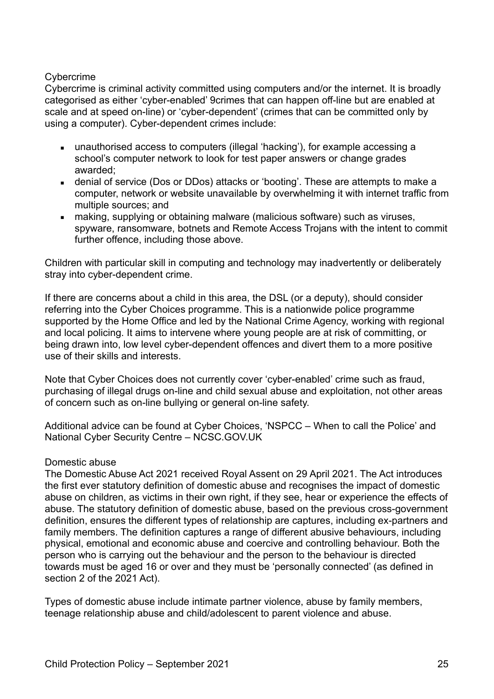#### **Cybercrime**

Cybercrime is criminal activity committed using computers and/or the internet. It is broadly categorised as either 'cyber-enabled' 9crimes that can happen off-line but are enabled at scale and at speed on-line) or 'cyber-dependent' (crimes that can be committed only by using a computer). Cyber-dependent crimes include:

- unauthorised access to computers (illegal 'hacking'), for example accessing a school's computer network to look for test paper answers or change grades awarded;
- denial of service (Dos or DDos) attacks or 'booting'. These are attempts to make a computer, network or website unavailable by overwhelming it with internet traffic from multiple sources; and
- **EXECT** making, supplying or obtaining malware (malicious software) such as viruses, spyware, ransomware, botnets and Remote Access Trojans with the intent to commit further offence, including those above.

Children with particular skill in computing and technology may inadvertently or deliberately stray into cyber-dependent crime.

If there are concerns about a child in this area, the DSL (or a deputy), should consider referring into the Cyber Choices programme. This is a nationwide police programme supported by the Home Office and led by the National Crime Agency, working with regional and local policing. It aims to intervene where young people are at risk of committing, or being drawn into, low level cyber-dependent offences and divert them to a more positive use of their skills and interests.

Note that Cyber Choices does not currently cover 'cyber-enabled' crime such as fraud, purchasing of illegal drugs on-line and child sexual abuse and exploitation, not other areas of concern such as on-line bullying or general on-line safety.

Additional advice can be found at [Cyber Choices,](https://nationalcrimeagency.gov.uk/what-we-do/crime-threats/cyber-crime/cyberchoices) ['NSPCC – When to call the Police'](https://www.npcc.police.uk/documents/Children%2520and%2520Young%2520people/When%2520to%2520call%2520the%2520police%2520guidance%2520for%2520schools%2520and%2520colleges.pdf) and [National Cyber Security Centre – NCSC.GOV.UK](https://www.ncsc.gov.uk/) 

#### Domestic abuse

The Domestic Abuse Act 2021 received Royal Assent on 29 April 2021. The Act introduces the first ever statutory definition of domestic abuse and recognises the impact of domestic abuse on children, as victims in their own right, if they see, hear or experience the effects of abuse. The statutory definition of domestic abuse, based on the previous cross-government definition, ensures the different types of relationship are captures, including ex-partners and family members. The definition captures a range of different abusive behaviours, including physical, emotional and economic abuse and coercive and controlling behaviour. Both the person who is carrying out the behaviour and the person to the behaviour is directed towards must be aged 16 or over and they must be 'personally connected' (as defined in section 2 of the 2021 Act).

Types of domestic abuse include intimate partner violence, abuse by family members, teenage relationship abuse and child/adolescent to parent violence and abuse.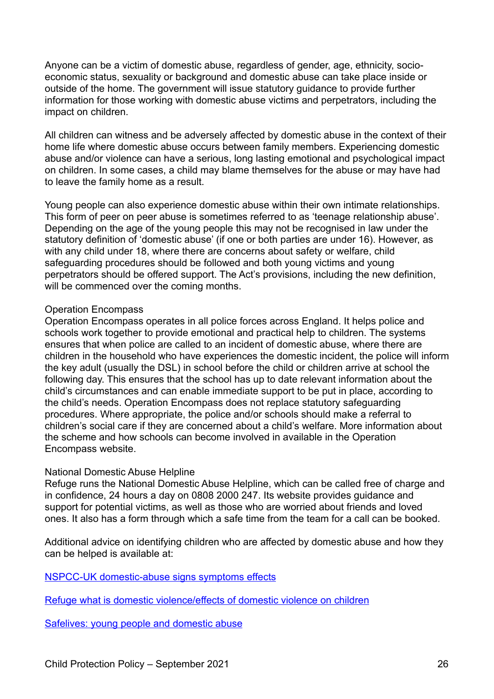Anyone can be a victim of domestic abuse, regardless of gender, age, ethnicity, socioeconomic status, sexuality or background and domestic abuse can take place inside or outside of the home. The government will issue statutory guidance to provide further information for those working with domestic abuse victims and perpetrators, including the impact on children.

All children can witness and be adversely affected by domestic abuse in the context of their home life where domestic abuse occurs between family members. Experiencing domestic abuse and/or violence can have a serious, long lasting emotional and psychological impact on children. In some cases, a child may blame themselves for the abuse or may have had to leave the family home as a result.

Young people can also experience domestic abuse within their own intimate relationships. This form of peer on peer abuse is sometimes referred to as 'teenage relationship abuse'. Depending on the age of the young people this may not be recognised in law under the statutory definition of 'domestic abuse' (if one or both parties are under 16). However, as with any child under 18, where there are concerns about safety or welfare, child safeguarding procedures should be followed and both young victims and young perpetrators should be offered support. The Act's provisions, including the new definition, will be commenced over the coming months.

#### Operation Encompass

[Operation Encompass](https://www.operationencompass.org/) operates in all police forces across England. It helps police and schools work together to provide emotional and practical help to children. The systems ensures that when police are called to an incident of domestic abuse, where there are children in the household who have experiences the domestic incident, the police will inform the key adult (usually the DSL) in school before the child or children arrive at school the following day. This ensures that the school has up to date relevant information about the child's circumstances and can enable immediate support to be put in place, according to the child's needs. Operation Encompass does not replace statutory safeguarding procedures. Where appropriate, the police and/or schools should make a referral to children's social care if they are concerned about a child's welfare. More information about the scheme and how schools can become involved in available in the Operation Encompass website.

#### National Domestic Abuse Helpline

Refuge runs the National Domestic Abuse Helpline, which can be called free of charge and in confidence, 24 hours a day on 0808 2000 247. Its website provides guidance and support for potential victims, as well as those who are worried about friends and loved ones. It also has a form through which a safe time from the team for a call can be booked.

Additional advice on identifying children who are affected by domestic abuse and how they can be helped is available at:

[NSPCC-UK domestic-abuse signs symptoms effects](https://www.nspcc.org.uk/preventing-abuse/child-abuse-and-neglect/domestic-abuse/signs-symptoms-effects/)

[Refuge what is domestic violence/effects of domestic violence on children](http://www.refuge.org.uk/get-help-now/support-for-women/what-about-my-children/)

[Safelives: young people and domestic abuse](http://www.safelives.org.uk/knowledge-hub/spotlights/spotlight-3-young-people-and-domestic-abuse)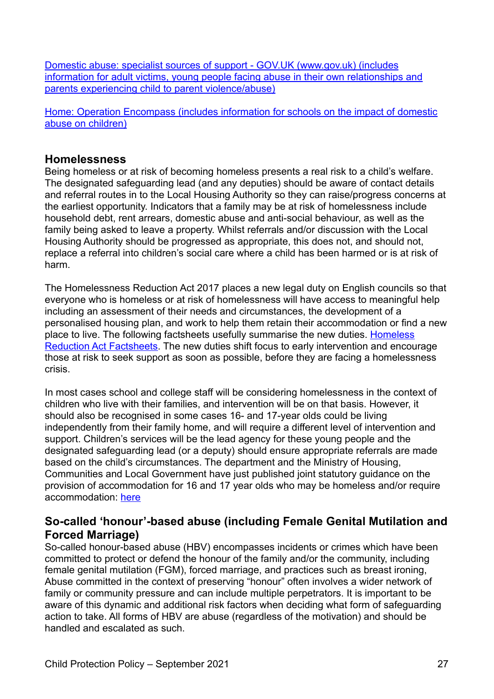[Domestic abuse: specialist sources of support - GOV.UK \(www.gov.uk\) \(includes](https://www.gov.uk/government/publications/domestic-abuse-get-help-for-specific-needs-or-situations/domestic-abuse-specialist-sources-of-support)  [information for adult victims, young people facing abuse in their own relationships and](https://www.gov.uk/government/publications/domestic-abuse-get-help-for-specific-needs-or-situations/domestic-abuse-specialist-sources-of-support)  [parents experiencing child to parent violence/abuse\)](https://www.gov.uk/government/publications/domestic-abuse-get-help-for-specific-needs-or-situations/domestic-abuse-specialist-sources-of-support) 

[Home: Operation Encompass \(includes information for schools on the impact of domestic](https://www.operationencompass.org/)  [abuse on children\)](https://www.operationencompass.org/)

#### **Homelessness**

Being homeless or at risk of becoming homeless presents a real risk to a child's welfare. The designated safeguarding lead (and any deputies) should be aware of contact details and referral routes in to the Local Housing Authority so they can raise/progress concerns at the earliest opportunity. Indicators that a family may be at risk of homelessness include household debt, rent arrears, domestic abuse and anti-social behaviour, as well as the family being asked to leave a property. Whilst referrals and/or discussion with the Local Housing Authority should be progressed as appropriate, this does not, and should not, replace a referral into children's social care where a child has been harmed or is at risk of harm.

The Homelessness Reduction Act 2017 places a new legal duty on English councils so that everyone who is homeless or at risk of homelessness will have access to meaningful help including an assessment of their needs and circumstances, the development of a personalised housing plan, and work to help them retain their accommodation or find a new place to live. The following factsheets usefully summarise the new duties. [Homeless](https://www.gov.uk/government/publications/homelessness-reduction-bill-policy-factsheets)  [Reduction Act Factsheets](https://www.gov.uk/government/publications/homelessness-reduction-bill-policy-factsheets). The new duties shift focus to early intervention and encourage those at risk to seek support as soon as possible, before they are facing a homelessness crisis.

In most cases school and college staff will be considering homelessness in the context of children who live with their families, and intervention will be on that basis. However, it should also be recognised in some cases 16- and 17-year olds could be living independently from their family home, and will require a different level of intervention and support. Children's services will be the lead agency for these young people and the designated safeguarding lead (or a deputy) should ensure appropriate referrals are made based on the child's circumstances. The department and the Ministry of Housing, Communities and Local Government have just published joint statutory guidance on the provision of accommodation for 16 and 17 year olds who may be homeless and/or require accommodation: [here](https://www.gov.uk/government/publications/homelessness-reduction-bill-policy-factsheets)

### **So-called 'honour'-based abuse (including Female Genital Mutilation and Forced Marriage)**

So-called honour-based abuse (HBV) encompasses incidents or crimes which have been committed to protect or defend the honour of the family and/or the community, including female genital mutilation (FGM), forced marriage, and practices such as breast ironing, Abuse committed in the context of preserving "honour" often involves a wider network of family or community pressure and can include multiple perpetrators. It is important to be aware of this dynamic and additional risk factors when deciding what form of safeguarding action to take. All forms of HBV are abuse (regardless of the motivation) and should be handled and escalated as such.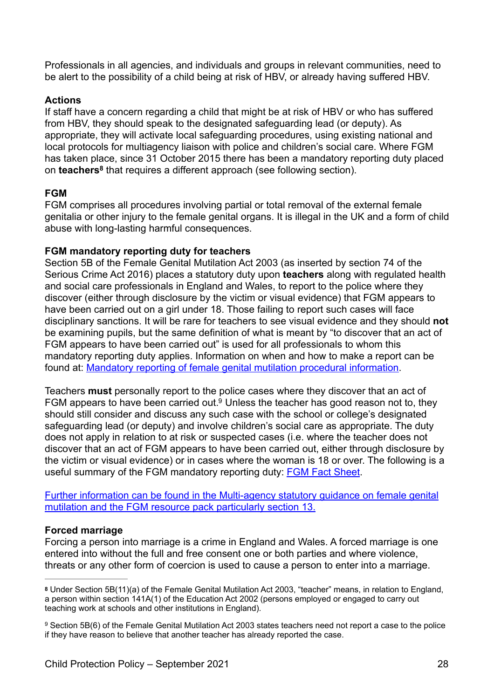Professionals in all agencies, and individuals and groups in relevant communities, need to be alert to the possibility of a child being at risk of HBV, or already having suffered HBV.

#### **Actions**

If staff have a concern regarding a child that might be at risk of HBV or who has suffered from HBV, they should speak to the designated safeguarding lead (or deputy). As appropriate, they will activate local safeguarding procedures, using existing national and local protocols for multiagency liaison with police and children's social care. Where FGM has taken place, since 31 October 2015 there has been a mandatory reporting duty placed on **teachers**<sup>[8](#page-27-0)</sup> that requires a different approach (see following section).

#### <span id="page-27-2"></span>**FGM**

FGM comprises all procedures involving partial or total removal of the external female genitalia or other injury to the female genital organs. It is illegal in the UK and a form of child abuse with long-lasting harmful consequences.

#### **FGM mandatory reporting duty for teachers**

Section 5B of the Female Genital Mutilation Act 2003 (as inserted by section 74 of the Serious Crime Act 2016) places a statutory duty upon **teachers** along with regulated health and social care professionals in England and Wales, to report to the police where they discover (either through disclosure by the victim or visual evidence) that FGM appears to have been carried out on a girl under 18. Those failing to report such cases will face disciplinary sanctions. It will be rare for teachers to see visual evidence and they should **not** be examining pupils, but the same definition of what is meant by "to discover that an act of FGM appears to have been carried out" is used for all professionals to whom this mandatory reporting duty applies. Information on when and how to make a report can be found at: [Mandatory reporting of female genital mutilation procedural information](https://www.gov.uk/government/publications/mandatory-reporting-of-female-genital-mutilation-procedural-information).

<span id="page-27-3"></span>Teachers **must** personally report to the police cases where they discover that an act of FGM appears to have been carried out.<sup>[9](#page-27-1)</sup> Unless the teacher has good reason not to, they should still consider and discuss any such case with the school or college's designated safeguarding lead (or deputy) and involve children's social care as appropriate. The duty does not apply in relation to at risk or suspected cases (i.e. where the teacher does not discover that an act of FGM appears to have been carried out, either through disclosure by the victim or visual evidence) or in cases where the woman is 18 or over. The following is a useful summary of the FGM mandatory reporting duty: [FGM Fact Sheet](https://assets.publishing.service.gov.uk/government/uploads/system/uploads/attachment_data/file/496415/6_1639_HO_SP_FGM_mandatory_reporting_Fact_sheet_Web.pdf).

[Further information can be found in the Multi-agency statutory guidance on female genital](https://assets.publishing.service.gov.uk/government/uploads/system/uploads/attachment_data/file/912996/6-1914-HO-Multi_Agency_Statutory_Guidance_on_FGM__-_MASTER_V7_-_FINAL__July_2020.pdf)  [mutilation and the FGM resource pack particularly section 13.](https://assets.publishing.service.gov.uk/government/uploads/system/uploads/attachment_data/file/912996/6-1914-HO-Multi_Agency_Statutory_Guidance_on_FGM__-_MASTER_V7_-_FINAL__July_2020.pdf)

#### **Forced marriage**

Forcing a person into marriage is a crime in England and Wales. A forced marriage is one entered into without the full and free consent one or both parties and where violence, threats or any other form of coercion is used to cause a person to enter into a marriage.

<span id="page-27-0"></span>Under Section 5B(11)(a) of the Female Genital Mutilation Act 2003, "teacher" means, in relation to England, **[8](#page-27-2)** a person within section 141A(1) of the Education Act 2002 (persons employed or engaged to carry out teaching work at schools and other institutions in England).

<span id="page-27-1"></span>[<sup>9</sup>](#page-27-3) Section 5B(6) of the Female Genital Mutilation Act 2003 states teachers need not report a case to the police if they have reason to believe that another teacher has already reported the case.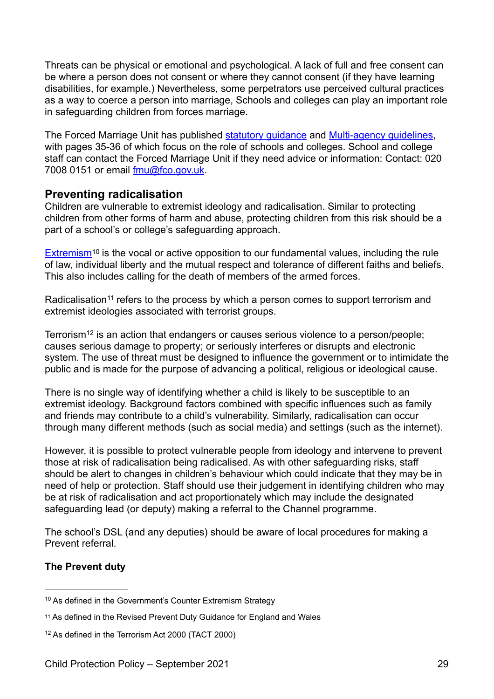Threats can be physical or emotional and psychological. A lack of full and free consent can be where a person does not consent or where they cannot consent (if they have learning disabilities, for example.) Nevertheless, some perpetrators use perceived cultural practices as a way to coerce a person into marriage, Schools and colleges can play an important role in safeguarding children from forces marriage.

The Forced Marriage Unit has published [statutory guidance](https://assets.publishing.service.gov.uk/government/uploads/system/uploads/attachment_data/file/322310/HMG_Statutory_Guidance_publication_180614_Final.pdf) and [Multi-agency guidelines,](https://assets.publishing.service.gov.uk/government/uploads/system/uploads/attachment_data/file/322307/HMG_MULTI_AGENCY_PRACTICE_GUIDELINES_v1_180614_FINAL.pdf) with pages 35-36 of which focus on the role of schools and colleges. School and college staff can contact the Forced Marriage Unit if they need advice or information: Contact: 020 7008 0151 or email [fmu@fco.gov.uk](mailto:fmu@fco.gov.uk).

#### **Preventing radicalisation**

Children are vulnerable to extremist ideology and radicalisation. Similar to protecting children from other forms of harm and abuse, protecting children from this risk should be a part of a school's or college's safeguarding approach.

<span id="page-28-3"></span>[Extremism](https://assets.publishing.service.gov.uk/government/uploads/system/uploads/attachment_data/file/470088/51859_Cm9148_Accessible.pdf)<sup>10</sup>is the vocal or active opposition to our fundamental values, including the rule of law, individual liberty and the mutual respect and tolerance of different faiths and beliefs. This also includes calling for the death of members of the armed forces.

<span id="page-28-4"></span>Radicalisation<sup>[11](#page-28-1)</sup> refers to the process by which a person comes to support terrorism and extremist ideologies associated with terrorist groups.

<span id="page-28-5"></span>Terrorism<sup>12</sup>is an action that endangers or causes serious violence to a person/people; causes serious damage to property; or seriously interferes or disrupts and electronic system. The use of threat must be designed to influence the government or to intimidate the public and is made for the purpose of advancing a political, religious or ideological cause.

There is no single way of identifying whether a child is likely to be susceptible to an extremist ideology. Background factors combined with specific influences such as family and friends may contribute to a child's vulnerability. Similarly, radicalisation can occur through many different methods (such as social media) and settings (such as the internet).

However, it is possible to protect vulnerable people from ideology and intervene to prevent those at risk of radicalisation being radicalised. As with other safeguarding risks, staff should be alert to changes in children's behaviour which could indicate that they may be in need of help or protection. Staff should use their judgement in identifying children who may be at risk of radicalisation and act proportionately which may include the designated safeguarding lead (or deputy) making a referral to the Channel programme.

The school's DSL (and any deputies) should be aware of local procedures for making a Prevent referral.

#### **The Prevent duty**

<span id="page-28-0"></span><sup>&</sup>lt;sup>[10](#page-28-3)</sup> As defined in the Government's Counter Extremism Strategy

<span id="page-28-1"></span>[<sup>11</sup>](#page-28-4) As defined in the Revised Prevent Duty Guidance for England and Wales

<span id="page-28-2"></span><sup>&</sup>lt;sup>[12](#page-28-5)</sup> As defined in the Terrorism Act 2000 (TACT 2000)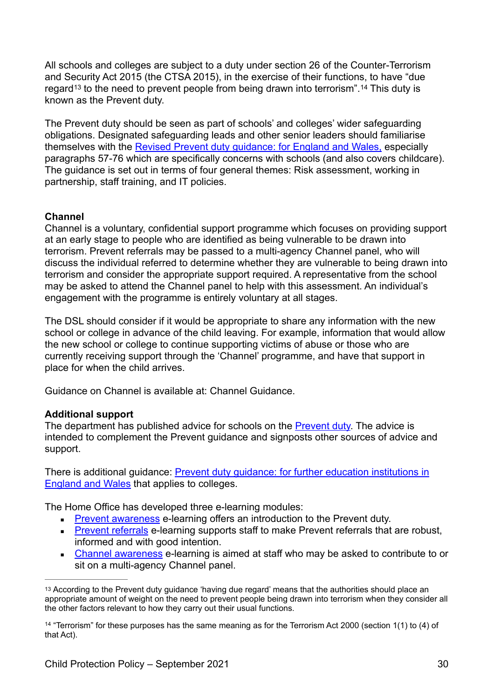<span id="page-29-3"></span><span id="page-29-2"></span>All schools and colleges are subject to a duty under section 26 of the Counter-Terrorism and Security Act 2015 (the CTSA 2015), in the exercise of their functions, to have "due regard<sup>13</sup>to the need to prevent people from being drawn into terrorism".<sup>14</sup> This duty is known as the Prevent duty.

The Prevent duty should be seen as part of schools' and colleges' wider safeguarding obligations. Designated safeguarding leads and other senior leaders should familiarise themselves with the [Revised Prevent duty guidance: for England and Wales,](https://www.gov.uk/government/publications/prevent-duty-guidance) especially paragraphs 57-76 which are specifically concerns with schools (and also covers childcare). The guidance is set out in terms of four general themes: Risk assessment, working in partnership, staff training, and IT policies.

#### **Channel**

Channel is a voluntary, confidential support programme which focuses on providing support at an early stage to people who are identified as being vulnerable to be drawn into terrorism. Prevent referrals may be passed to a multi-agency Channel panel, who will discuss the individual referred to determine whether they are vulnerable to being drawn into terrorism and consider the appropriate support required. A representative from the school may be asked to attend the Channel panel to help with this assessment. An individual's engagement with the programme is entirely voluntary at all stages.

The DSL should consider if it would be appropriate to share any information with the new school or college in advance of the child leaving. For example, information that would allow the new school or college to continue supporting victims of abuse or those who are currently receiving support through the 'Channel' programme, and have that support in place for when the child arrives.

Guidance on Channel is available at: [Channel Guidance](https://www.gov.uk/government/publications/channel-guidance).

#### **Additional support**

The department has published advice for schools on the [Prevent duty.](https://www.gov.uk/government/publications/protecting-children-from-radicalisation-the-prevent-duty) The advice is intended to complement the Prevent guidance and signposts other sources of advice and support.

There is additional guidance: [Prevent duty guidance: for further education institutions in](https://www.gov.uk/government/publications/prevent-duty-guidance)  [England and Wales](https://www.gov.uk/government/publications/prevent-duty-guidance) that applies to colleges.

The Home Office has developed three e-learning modules:

- **[Prevent awareness](https://www.elearning.prevent.homeoffice.gov.uk/la2/screen1.html) e-learning offers an introduction to the Prevent duty.**
- **[Prevent referrals](https://www.elearning.prevent.homeoffice.gov.uk/prevent_referrals/01-welcome.html) e-learning supports staff to make Prevent referrals that are robust,** informed and with good intention.
- **EXAMPLE 2018 IDED EXAMPLE 2018 Channel avareness e-learning is aimed at staff who may be asked to contribute to or** sit on a multi-agency Channel panel.

<span id="page-29-0"></span><sup>&</sup>lt;sup>[13](#page-29-2)</sup> According to the Prevent duty guidance 'having due regard' means that the authorities should place an appropriate amount of weight on the need to prevent people being drawn into terrorism when they consider all the other factors relevant to how they carry out their usual functions.

<span id="page-29-1"></span> $14$  "Terrorism" for these purposes has the same meaning as for the Terrorism Act 2000 (section 1(1) to (4) of that Act).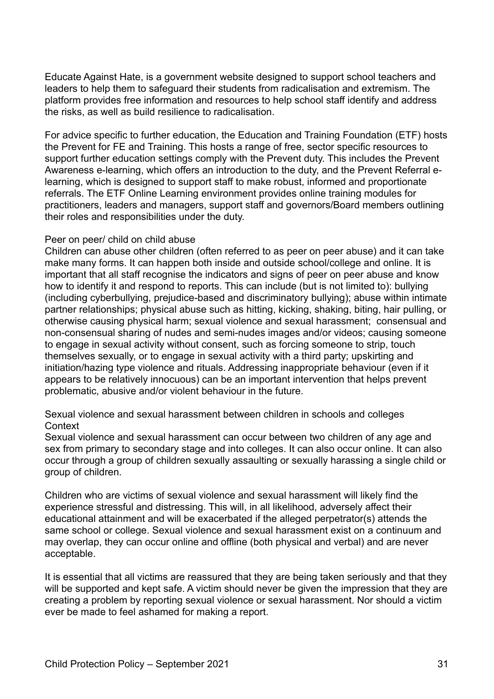[Educate Against Hate](https://educateagainsthate.com/), is a government website designed to support school teachers and leaders to help them to safeguard their students from radicalisation and extremism. The platform provides free information and resources to help school staff identify and address the risks, as well as build resilience to radicalisation.

For advice specific to further education, the Education and Training Foundation (ETF) hosts the [Prevent for FE and Training.](https://preventforfeandtraining.org.uk/) This hosts a range of free, sector specific resources to support further education settings comply with the Prevent duty. This includes the Prevent Awareness e-learning, which offers an introduction to the duty, and the Prevent Referral elearning, which is designed to support staff to make robust, informed and proportionate referrals. The ETF Online Learning environment provides online training modules for practitioners, leaders and managers, support staff and governors/Board members outlining their roles and responsibilities under the duty.

#### Peer on peer/ child on child abuse

Children can abuse other children (often referred to as peer on peer abuse) and it can take make many forms. It can happen both inside and outside school/college and online. It is important that all staff recognise the indicators and signs of peer on peer abuse and know how to identify it and respond to reports. This can include (but is not limited to): bullying (including cyberbullying, prejudice-based and discriminatory bullying); abuse within intimate partner relationships; physical abuse such as hitting, kicking, shaking, biting, hair pulling, or otherwise causing physical harm; sexual violence and sexual harassment; consensual and non-consensual sharing of nudes and semi-nudes images and/or videos; causing someone to engage in sexual activity without consent, such as forcing someone to strip, touch themselves sexually, or to engage in sexual activity with a third party; upskirting and initiation/hazing type violence and rituals. Addressing inappropriate behaviour (even if it appears to be relatively innocuous) can be an important intervention that helps prevent problematic, abusive and/or violent behaviour in the future.

Sexual violence and sexual harassment between children in schools and colleges **Context** 

Sexual violence and sexual harassment can occur between two children of any age and sex from primary to secondary stage and into colleges. It can also occur online. It can also occur through a group of children sexually assaulting or sexually harassing a single child or group of children.

Children who are victims of sexual violence and sexual harassment will likely find the experience stressful and distressing. This will, in all likelihood, adversely affect their educational attainment and will be exacerbated if the alleged perpetrator(s) attends the same school or college. Sexual violence and sexual harassment exist on a continuum and may overlap, they can occur online and offline (both physical and verbal) and are never acceptable.

It is essential that all victims are reassured that they are being taken seriously and that they will be supported and kept safe. A victim should never be given the impression that they are creating a problem by reporting sexual violence or sexual harassment. Nor should a victim ever be made to feel ashamed for making a report.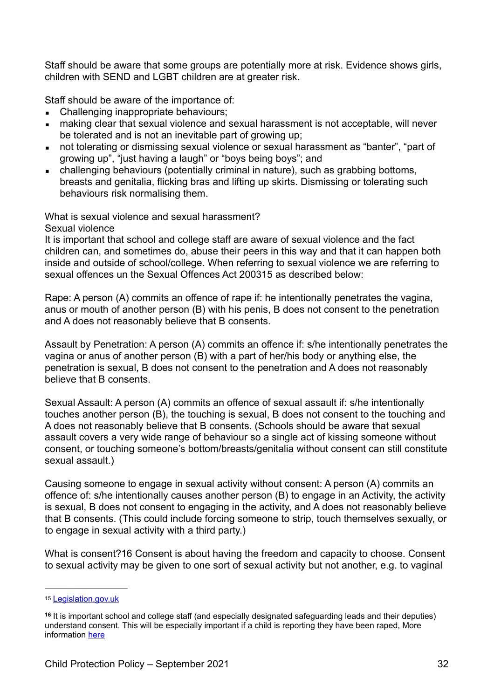Staff should be aware that some groups are potentially more at risk. Evidence shows girls, children with SEND and LGBT children are at greater risk.

Staff should be aware of the importance of:

- Challenging inappropriate behaviours;
- making clear that sexual violence and sexual harassment is not acceptable, will never be tolerated and is not an inevitable part of growing up;
- not tolerating or dismissing sexual violence or sexual harassment as "banter", "part of growing up", "just having a laugh" or "boys being boys"; and
- challenging behaviours (potentially criminal in nature), such as grabbing bottoms, breasts and genitalia, flicking bras and lifting up skirts. Dismissing or tolerating such behaviours risk normalising them.

What is sexual violence and sexual harassment? Sexual violence

It is important that school and college staff are aware of sexual violence and the fact children can, and sometimes do, abuse their peers in this way and that it can happen both inside and outside of school/college. When referring to sexual violence we are referring to sexual offences un the Sexual Offences Act 200[315](#page-31-0) as described below:

<span id="page-31-2"></span>Rape: A person (A) commits an offence of rape if: he intentionally penetrates the vagina, anus or mouth of another person (B) with his penis, B does not consent to the penetration and A does not reasonably believe that B consents.

Assault by Penetration: A person (A) commits an offence if: s/he intentionally penetrates the vagina or anus of another person (B) with a part of her/his body or anything else, the penetration is sexual, B does not consent to the penetration and A does not reasonably believe that B consents.

Sexual Assault: A person (A) commits an offence of sexual assault if: s/he intentionally touches another person (B), the touching is sexual, B does not consent to the touching and A does not reasonably believe that B consents. (Schools should be aware that sexual assault covers a very wide range of behaviour so a single act of kissing someone without consent, or touching someone's bottom/breasts/genitalia without consent can still constitute sexual assault.)

Causing someone to engage in sexual activity without consent: A person (A) commits an offence of: s/he intentionally causes another person (B) to engage in an Activity, the activity is sexual, B does not consent to engaging in the activity, and A does not reasonably believe that B consents. (This could include forcing someone to strip, touch themselves sexually, or to engage in sexual activity with a third party.)

<span id="page-31-3"></span>What is consent[?16](#page-31-1) Consent is about having the freedom and capacity to choose. Consent to sexual activity may be given to one sort of sexual activity but not another, e.g. to vaginal

<span id="page-31-0"></span>[<sup>15</sup>](#page-31-2) [Legislation.gov.uk](https://www.legislation.gov.uk/ukpga/2003/42/contents)

<span id="page-31-1"></span>It is important school and college staff (and especially designated safeguarding leads and their deputies) **[16](#page-31-3)** understand consent. This will be especially important if a child is reporting they have been raped, More information [here](https://www.disrespectnobody.co.uk/consent/what-is-consent/)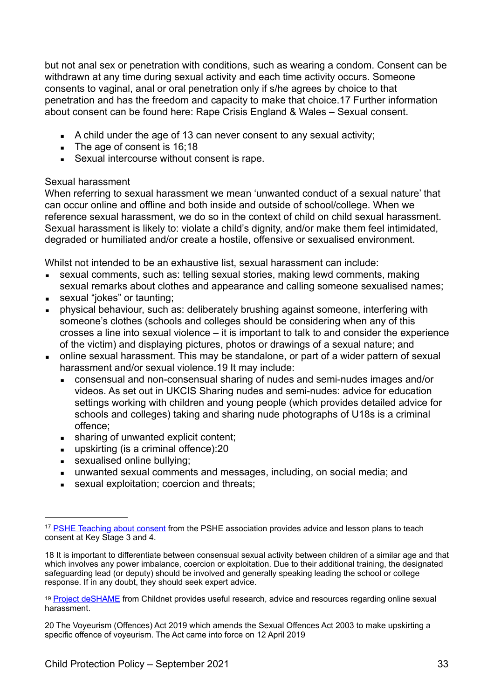but not anal sex or penetration with conditions, such as wearing a condom. Consent can be withdrawn at any time during sexual activity and each time activity occurs. Someone consents to vaginal, anal or oral penetration only if s/he agrees by choice to that penetration and has the freedom and capacity to make that choice. [17](#page-32-0) Further information about consent can be found here: [Rape Crisis England & Wales – Sexual consent](https://rapecrisis.org.uk/).

- <span id="page-32-4"></span> $\blacksquare$  A child under the age of 13 can never consent to any sexual activity;
- <span id="page-32-5"></span>■ The age of consent is 16:[18](#page-32-1)
- Sexual intercourse without consent is rape.

#### Sexual harassment

When referring to sexual harassment we mean 'unwanted conduct of a sexual nature' that can occur online and offline and both inside and outside of school/college. When we reference sexual harassment, we do so in the context of child on child sexual harassment. Sexual harassment is likely to: violate a child's dignity, and/or make them feel intimidated, degraded or humiliated and/or create a hostile, offensive or sexualised environment.

Whilst not intended to be an exhaustive list, sexual harassment can include:

- sexual comments, such as: telling sexual stories, making lewd comments, making sexual remarks about clothes and appearance and calling someone sexualised names;
- sexual "jokes" or taunting;
- physical behaviour, such as: deliberately brushing against someone, interfering with someone's clothes (schools and colleges should be considering when any of this crosses a line into sexual violence – it is important to talk to and consider the experience of the victim) and displaying pictures, photos or drawings of a sexual nature; and
- <span id="page-32-6"></span>online sexual harassment. This may be standalone, or part of a wider pattern of sexual harassment and/or sexual violence. [19](#page-32-2) It may include:
	- consensual and non-consensual sharing of nudes and semi-nudes images and/or [videos. As set out in UKCIS Sharing nudes and semi-nudes: advice for education](https://www.gov.uk/government/publications/sharing-nudes-and-semi-nudes-advice-for-education-settings-working-with-children-and-young-people/sharing-nudes-and-semi-nudes-advice-for-education-settings-working-with-children-and-young-people)  [settings working with children and young people](https://www.gov.uk/government/publications/sharing-nudes-and-semi-nudes-advice-for-education-settings-working-with-children-and-young-people/sharing-nudes-and-semi-nudes-advice-for-education-settings-working-with-children-and-young-people) (which provides detailed advice for schools and colleges) taking and sharing nude photographs of U18s is a criminal offence;
	- sharing of unwanted explicit content;
	- $\blacksquare$  upskirting (is a criminal offence):[20](#page-32-3)
	- **EXAM** sexualised online bullying:
	- **EXEDENT IN A unively sexual comments and messages, including, on social media; and**
	- **EXECUSE:** sexual exploitation; coercion and threats;

<span id="page-32-7"></span><span id="page-32-0"></span><sup>&</sup>lt;sup>17</sup> [PSHE Teaching about consent](https://www.pshe-association.org.uk/curriculum-and-resources/resources/guidance-teaching-about-consent-pshe-education-key) from the PSHE association provides advice and lesson plans to teach consent at Key Stage 3 and 4.

<span id="page-32-1"></span>[<sup>18</sup>](#page-32-5) It is important to differentiate between consensual sexual activity between children of a similar age and that which involves any power imbalance, coercion or exploitation. Due to their additional training, the designated safeguarding lead (or deputy) should be involved and generally speaking leading the school or college response. If in any doubt, they should seek expert advice.

<span id="page-32-2"></span><sup>&</sup>lt;sup>19</sup> [Project deSHAME](https://www.childnet.com/our-projects/project-deshame) from Childnet provides useful research, advice and resources regarding online sexual harassment.

<span id="page-32-3"></span>[<sup>20</sup>](#page-32-7) The Voyeurism (Offences) Act 2019 which amends the Sexual Offences Act 2003 to make upskirting a specific offence of voyeurism. The Act came into force on 12 April 2019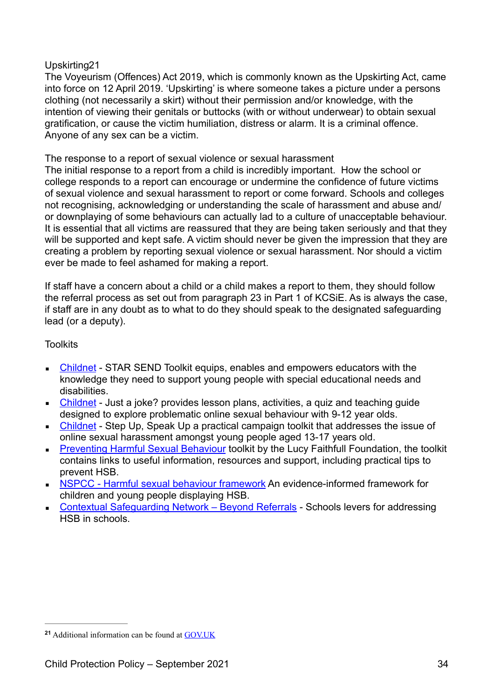#### <span id="page-33-1"></span>Upskirtin[g21](#page-33-0)‑

The Voyeurism (Offences) Act 2019, which is commonly known as the Upskirting Act, came into force on 12 April 2019. 'Upskirting' is where someone takes a picture under a persons clothing (not necessarily a skirt) without their permission and/or knowledge, with the intention of viewing their genitals or buttocks (with or without underwear) to obtain sexual gratification, or cause the victim humiliation, distress or alarm. It is a criminal offence. Anyone of any sex can be a victim.

The response to a report of sexual violence or sexual harassment

The initial response to a report from a child is incredibly important. How the school or college responds to a report can encourage or undermine the confidence of future victims of sexual violence and sexual harassment to report or come forward. Schools and colleges not recognising, acknowledging or understanding the scale of harassment and abuse and/ or downplaying of some behaviours can actually lad to a culture of unacceptable behaviour. It is essential that all victims are reassured that they are being taken seriously and that they will be supported and kept safe. A victim should never be given the impression that they are creating a problem by reporting sexual violence or sexual harassment. Nor should a victim ever be made to feel ashamed for making a report.

If staff have a concern about a child or a child makes a report to them, they should follow the referral process as set out from paragraph 23 in Part 1 of KCSiE. As is always the case, if staff are in any doubt as to what to do they should speak to the designated safeguarding lead (or a deputy).

#### **Toolkits**

- [Childnet](https://www.childnet.com/resources/star-send-toolkit) STAR SEND Toolkit equips, enables and empowers educators with the knowledge they need to support young people with special educational needs and disabilities.
- [Childnet](https://www.childnet.com/resources/just-a-joke) Just a joke? provides lesson plans, activities, a quiz and teaching quide designed to explore problematic online sexual behaviour with 9-12 year olds.
- [Childnet](https://www.childnet.com/resources/step-up-speak-up/) Step Up, Speak Up a practical campaign toolkit that addresses the issue of online sexual harassment amongst young people aged 13-17 years old.
- **Example 20 [Preventing Harmful Sexual Behaviour](https://www.stopitnow.org.uk/concerned-about-a-child-or-young-persons-sexual-behaviour/preventing-harmful-sexual-behaviour/) toolkit by the Lucy Faithfull Foundation, the toolkit** contains links to useful information, resources and support, including practical tips to prevent HSB.
- **EXECC** Harmful sexual behaviour framework An evidence-informed framework for children and young people displaying HSB.
- **Example 2 [Contextual Safeguarding Network Beyond Referrals](https://contextualsafeguarding.org.uk/portfolio-items/beyond-referrals-2-project-to-address-harmful-behaviour-in-schools/) Schools levers for addressing** HSB in schools.

<span id="page-33-0"></span>**[<sup>21</sup>](#page-33-1)** Additional information can be found at [GOV.UK](https://www.gov.uk/government/news/upskirting-law-comes-into-force)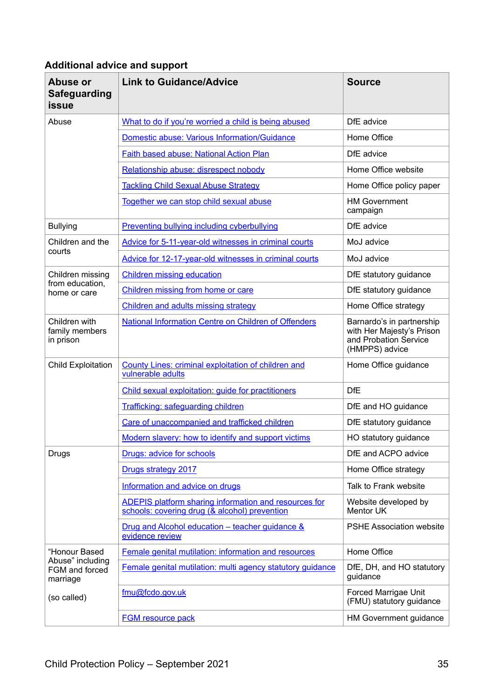### **Additional advice and support**

| Abuse or<br><b>Safeguarding</b><br><b>issue</b>                 | <b>Link to Guidance/Advice</b>                                                                                | <b>Source</b>                                                                                     |
|-----------------------------------------------------------------|---------------------------------------------------------------------------------------------------------------|---------------------------------------------------------------------------------------------------|
| Abuse                                                           | What to do if you're worried a child is being abused                                                          | DfE advice                                                                                        |
|                                                                 | Domestic abuse: Various Information/Guidance                                                                  | Home Office                                                                                       |
|                                                                 | <b>Faith based abuse: National Action Plan</b>                                                                | DfE advice                                                                                        |
|                                                                 | Relationship abuse: disrespect nobody                                                                         | Home Office website                                                                               |
|                                                                 | <b>Tackling Child Sexual Abuse Strategy</b>                                                                   | Home Office policy paper                                                                          |
|                                                                 | Together we can stop child sexual abuse                                                                       | <b>HM Government</b><br>campaign                                                                  |
| <b>Bullying</b>                                                 | <b>Preventing bullying including cyberbullying</b>                                                            | DfE advice                                                                                        |
| Children and the                                                | Advice for 5-11-year-old witnesses in criminal courts                                                         | MoJ advice                                                                                        |
| courts                                                          | Advice for 12-17-year-old witnesses in criminal courts                                                        | MoJ advice                                                                                        |
| Children missing                                                | <b>Children missing education</b>                                                                             | DfE statutory guidance                                                                            |
| from education,<br>home or care                                 | Children missing from home or care                                                                            | DfE statutory guidance                                                                            |
|                                                                 | Children and adults missing strategy                                                                          | Home Office strategy                                                                              |
| Children with<br>family members<br>in prison                    | National Information Centre on Children of Offenders                                                          | Barnardo's in partnership<br>with Her Majesty's Prison<br>and Probation Service<br>(HMPPS) advice |
| <b>Child Exploitation</b>                                       | County Lines: criminal exploitation of children and<br>vulnerable adults                                      | Home Office guidance                                                                              |
|                                                                 | Child sexual exploitation: quide for practitioners                                                            | <b>DfE</b>                                                                                        |
|                                                                 | Trafficking: safequarding children                                                                            | DfE and HO guidance                                                                               |
|                                                                 | Care of unaccompanied and trafficked children                                                                 | DfE statutory guidance                                                                            |
|                                                                 | Modern slavery: how to identify and support victims                                                           | HO statutory guidance                                                                             |
| Drugs                                                           | Drugs: advice for schools                                                                                     | DfE and ACPO advice                                                                               |
|                                                                 | Drugs strategy 2017                                                                                           | Home Office strategy                                                                              |
|                                                                 | Information and advice on drugs                                                                               | Talk to Frank website                                                                             |
|                                                                 | <b>ADEPIS platform sharing information and resources for</b><br>schools: covering drug (& alcohol) prevention | Website developed by<br><b>Mentor UK</b>                                                          |
|                                                                 | Drug and Alcohol education – teacher quidance &<br>evidence review                                            | <b>PSHE Association website</b>                                                                   |
| "Honour Based<br>Abuse" including<br>FGM and forced<br>marriage | Female genital mutilation: information and resources                                                          | Home Office                                                                                       |
|                                                                 | Female genital mutilation: multi agency statutory guidance                                                    | DfE, DH, and HO statutory<br>guidance                                                             |
| (so called)                                                     | fmu@fcdo.gov.uk                                                                                               | Forced Marrigae Unit<br>(FMU) statutory guidance                                                  |
|                                                                 | <b>FGM resource pack</b>                                                                                      | HM Government guidance                                                                            |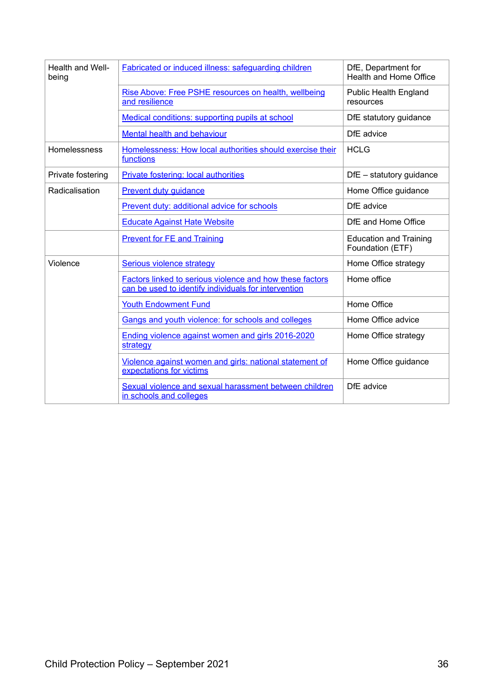| Health and Well-<br>being | <b>Fabricated or induced illness: safeguarding children</b>                                                      | DfE, Department for<br><b>Health and Home Office</b> |
|---------------------------|------------------------------------------------------------------------------------------------------------------|------------------------------------------------------|
|                           | Rise Above: Free PSHE resources on health, wellbeing<br>and resilience                                           | <b>Public Health England</b><br>resources            |
|                           | Medical conditions: supporting pupils at school                                                                  | DfE statutory guidance                               |
|                           | <b>Mental health and behaviour</b>                                                                               | DfE advice                                           |
| Homelessness              | Homelessness: How local authorities should exercise their<br>functions                                           | <b>HCLG</b>                                          |
| Private fostering         | Private fostering: local authorities                                                                             | DfE - statutory guidance                             |
| Radicalisation            | <b>Prevent duty guidance</b>                                                                                     | Home Office guidance                                 |
|                           | Prevent duty: additional advice for schools                                                                      | DfE advice                                           |
|                           | <b>Educate Against Hate Website</b>                                                                              | DfE and Home Office                                  |
|                           | <b>Prevent for FE and Training</b>                                                                               | <b>Education and Training</b><br>Foundation (ETF)    |
| Violence                  | Serious violence strategy                                                                                        | Home Office strategy                                 |
|                           | Factors linked to serious violence and how these factors<br>can be used to identify individuals for intervention | Home office                                          |
|                           | <b>Youth Endowment Fund</b>                                                                                      | Home Office                                          |
|                           | Gangs and youth violence: for schools and colleges                                                               | Home Office advice                                   |
|                           | Ending violence against women and girls 2016-2020<br>strategy                                                    | Home Office strategy                                 |
|                           | Violence against women and girls: national statement of<br>expectations for victims                              | Home Office guidance                                 |
|                           | Sexual violence and sexual harassment between children<br>in schools and colleges                                | DfE advice                                           |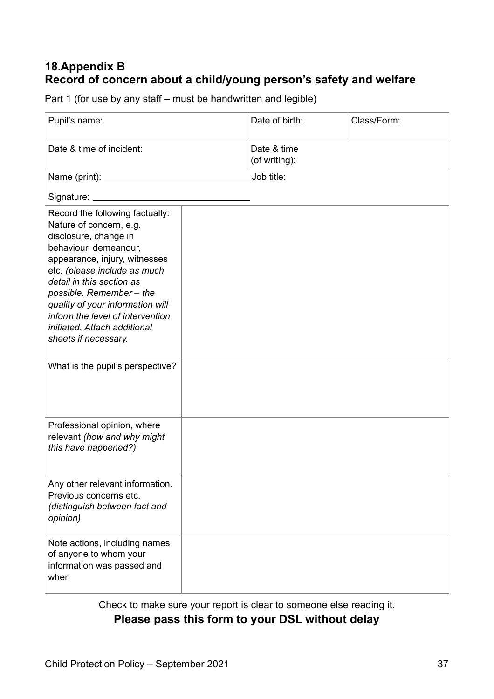### **18.Appendix B Record of concern about a child/young person's safety and welfare**

Part 1 (for use by any staff – must be handwritten and legible)

| Pupil's name:                                                                                                                                                                                                                                                                                                                                                          | Date of birth:               | Class/Form: |
|------------------------------------------------------------------------------------------------------------------------------------------------------------------------------------------------------------------------------------------------------------------------------------------------------------------------------------------------------------------------|------------------------------|-------------|
| Date & time of incident:                                                                                                                                                                                                                                                                                                                                               | Date & time<br>(of writing): |             |
|                                                                                                                                                                                                                                                                                                                                                                        | Job title:                   |             |
|                                                                                                                                                                                                                                                                                                                                                                        |                              |             |
| Record the following factually:<br>Nature of concern, e.g.<br>disclosure, change in<br>behaviour, demeanour,<br>appearance, injury, witnesses<br>etc. (please include as much<br>detail in this section as<br>possible. Remember - the<br>quality of your information will<br>inform the level of intervention<br>initiated. Attach additional<br>sheets if necessary. |                              |             |
| What is the pupil's perspective?                                                                                                                                                                                                                                                                                                                                       |                              |             |
| Professional opinion, where<br>relevant (how and why might<br>this have happened?)                                                                                                                                                                                                                                                                                     |                              |             |
| Any other relevant information.<br>Previous concerns etc.<br>(distinguish between fact and<br>opinion)                                                                                                                                                                                                                                                                 |                              |             |
| Note actions, including names<br>of anyone to whom your<br>information was passed and<br>when                                                                                                                                                                                                                                                                          |                              |             |

Check to make sure your report is clear to someone else reading it. **Please pass this form to your DSL without delay**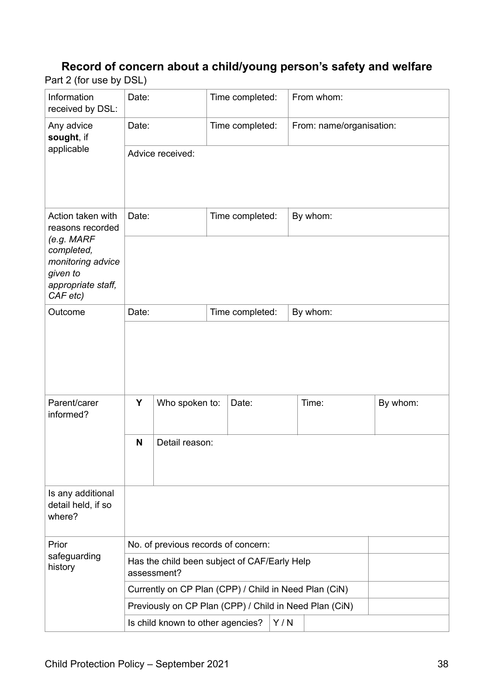# **Record of concern about a child/young person's safety and welfare**

Part 2 (for use by DSL)

| Information<br>received by DSL:                                                             | Date:                                                       |                  |                 | Time completed: |          | From whom:               |          |
|---------------------------------------------------------------------------------------------|-------------------------------------------------------------|------------------|-----------------|-----------------|----------|--------------------------|----------|
| Any advice<br>sought, if                                                                    | Date:                                                       |                  | Time completed: |                 |          | From: name/organisation: |          |
| applicable                                                                                  |                                                             | Advice received: |                 |                 |          |                          |          |
| Action taken with<br>reasons recorded                                                       | Date:                                                       |                  | Time completed: |                 | By whom: |                          |          |
| (e.g. MARF<br>completed,<br>monitoring advice<br>given to<br>appropriate staff,<br>CAF etc) |                                                             |                  |                 |                 |          |                          |          |
| Outcome                                                                                     | Date:                                                       |                  |                 | Time completed: |          | By whom:                 |          |
|                                                                                             |                                                             |                  |                 |                 |          |                          |          |
| Parent/carer<br>informed?                                                                   | Y                                                           | Who spoken to:   |                 | Date:           |          | Time:                    | By whom: |
|                                                                                             | N                                                           | Detail reason:   |                 |                 |          |                          |          |
| Is any additional<br>detail held, if so<br>where?                                           |                                                             |                  |                 |                 |          |                          |          |
| Prior                                                                                       | No. of previous records of concern:                         |                  |                 |                 |          |                          |          |
| safeguarding<br>history                                                                     | Has the child been subject of CAF/Early Help<br>assessment? |                  |                 |                 |          |                          |          |
|                                                                                             | Currently on CP Plan (CPP) / Child in Need Plan (CiN)       |                  |                 |                 |          |                          |          |
|                                                                                             | Previously on CP Plan (CPP) / Child in Need Plan (CiN)      |                  |                 |                 |          |                          |          |
|                                                                                             | Is child known to other agencies?<br>Y/N                    |                  |                 |                 |          |                          |          |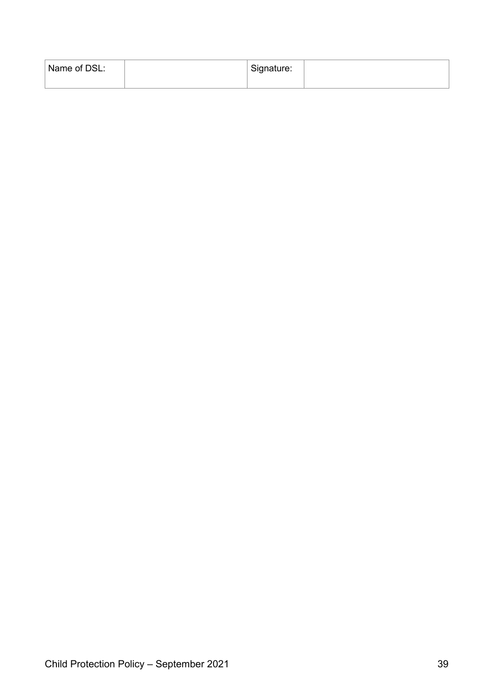| Name of DSL: | Signature: |  |
|--------------|------------|--|
|              |            |  |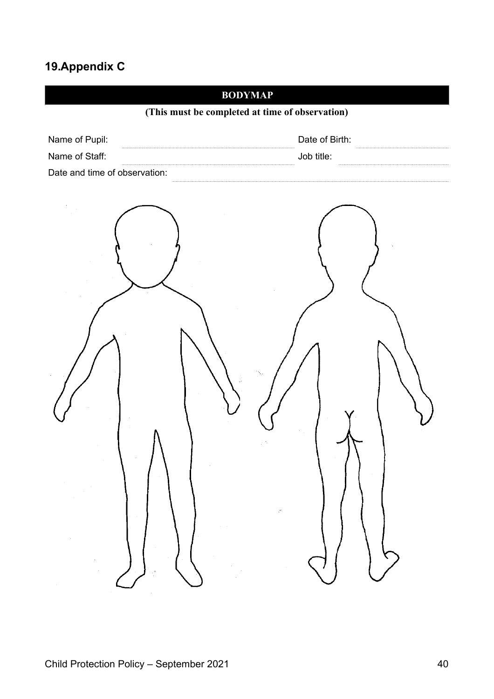# **19.Appendix C**

| <b>BODYMAP</b>                                  |                                                    |
|-------------------------------------------------|----------------------------------------------------|
| (This must be completed at time of observation) |                                                    |
| Name of Pupil:                                  | Date of Birth:                                     |
| Name of Staff:                                  | Job title:                                         |
| Date and time of observation:                   |                                                    |
|                                                 | $\left\{\begin{matrix}1\\1\\1\end{matrix}\right\}$ |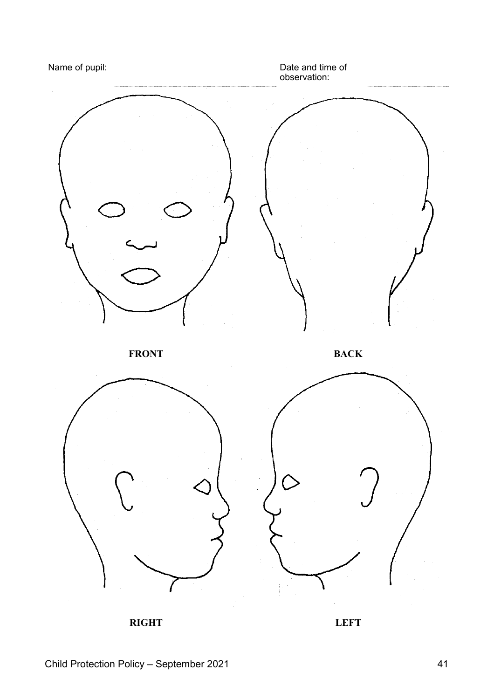Name of pupil:  $\blacksquare$ observation:



**RIGHT LEFT**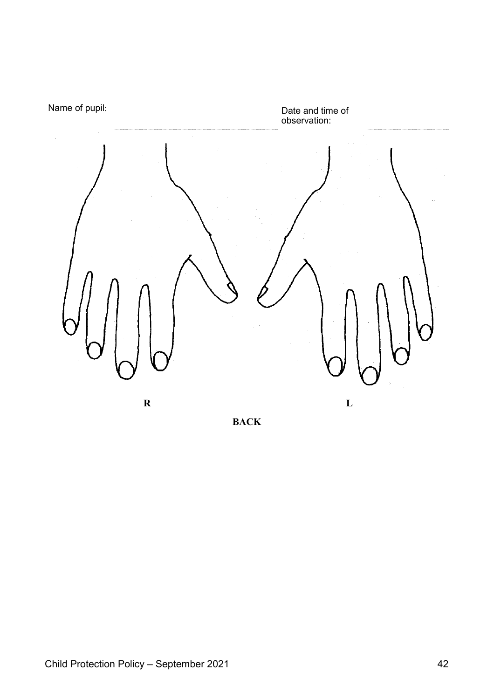

**BACK**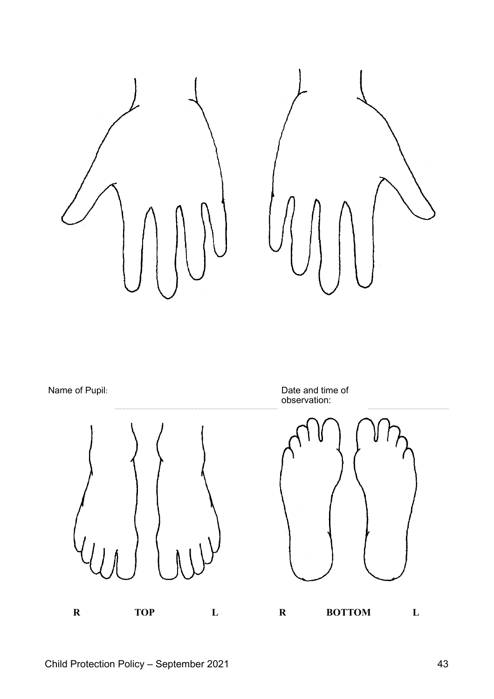